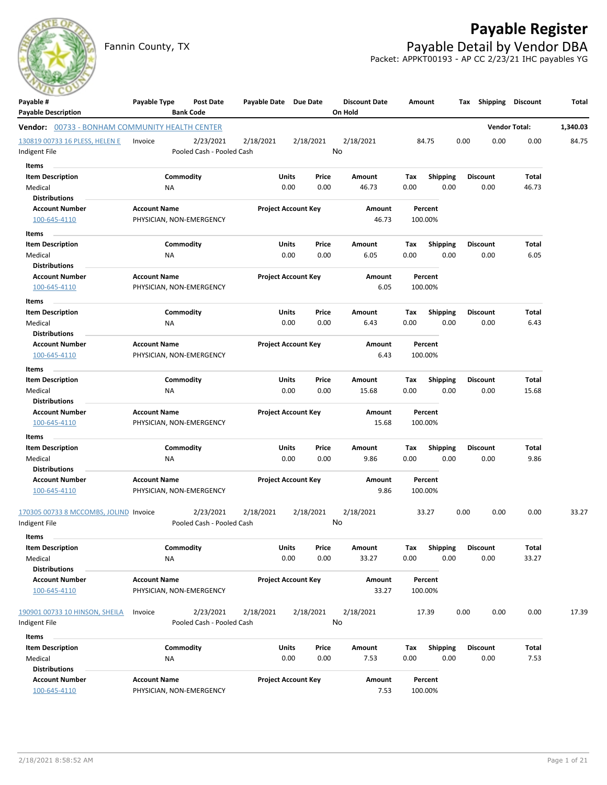

Fannin County, TX **Payable Detail by Vendor DBA** Packet: APPKT00193 - AP CC 2/23/21 IHC payables YG



| Payable #                                             | Payable Type             | Post Date                              | Payable Date Due Date |                            | <b>Discount Date</b> | Amount |                         | Shipping<br>Тах | Discount             | Total    |
|-------------------------------------------------------|--------------------------|----------------------------------------|-----------------------|----------------------------|----------------------|--------|-------------------------|-----------------|----------------------|----------|
| <b>Payable Description</b>                            |                          | <b>Bank Code</b>                       |                       |                            | On Hold              |        |                         |                 |                      |          |
| <b>Vendor:</b> 00733 - BONHAM COMMUNITY HEALTH CENTER |                          |                                        |                       |                            |                      |        |                         |                 | <b>Vendor Total:</b> | 1,340.03 |
| 130819 00733 16 PLESS, HELEN E<br>Indigent File       | Invoice                  | 2/23/2021<br>Pooled Cash - Pooled Cash | 2/18/2021             | 2/18/2021                  | 2/18/2021<br>No      |        | 84.75                   | 0.00<br>0.00    | 0.00                 | 84.75    |
| Items                                                 |                          |                                        |                       |                            |                      |        |                         |                 |                      |          |
| <b>Item Description</b>                               |                          | Commodity                              | Units                 | Price                      | Amount               | Tax    | <b>Shipping</b>         | <b>Discount</b> | Total                |          |
| Medical                                               | <b>NA</b>                |                                        |                       | 0.00<br>0.00               | 46.73                | 0.00   | 0.00                    | 0.00            | 46.73                |          |
| <b>Distributions</b>                                  |                          |                                        |                       |                            |                      |        |                         |                 |                      |          |
| <b>Account Number</b>                                 | <b>Account Name</b>      |                                        |                       | <b>Project Account Key</b> | Amount               |        | Percent                 |                 |                      |          |
| 100-645-4110                                          | PHYSICIAN, NON-EMERGENCY |                                        |                       |                            | 46.73                |        | 100.00%                 |                 |                      |          |
| <b>Items</b>                                          |                          |                                        |                       |                            |                      |        |                         |                 |                      |          |
| <b>Item Description</b>                               |                          | Commodity                              | Units                 | Price                      | Amount               | Tax    | <b>Shipping</b>         | <b>Discount</b> | Total                |          |
| Medical                                               | <b>NA</b>                |                                        |                       | 0.00<br>0.00               | 6.05                 | 0.00   | 0.00                    | 0.00            | 6.05                 |          |
| <b>Distributions</b>                                  |                          |                                        |                       |                            |                      |        |                         |                 |                      |          |
| <b>Account Number</b>                                 | <b>Account Name</b>      |                                        |                       | <b>Project Account Key</b> | Amount               |        | Percent                 |                 |                      |          |
| 100-645-4110                                          | PHYSICIAN, NON-EMERGENCY |                                        |                       |                            | 6.05                 |        | 100.00%                 |                 |                      |          |
| Items                                                 |                          |                                        |                       |                            |                      |        |                         |                 |                      |          |
| <b>Item Description</b>                               |                          | Commodity                              | Units                 | Price                      | Amount               | Tax    | Shipping                | <b>Discount</b> | Total                |          |
| Medical                                               | ΝA                       |                                        |                       | 0.00<br>0.00               | 6.43                 | 0.00   | 0.00                    | 0.00            | 6.43                 |          |
| <b>Distributions</b>                                  |                          |                                        |                       |                            |                      |        |                         |                 |                      |          |
| <b>Account Number</b>                                 | <b>Account Name</b>      |                                        |                       | <b>Project Account Key</b> | Amount               |        | Percent                 |                 |                      |          |
| 100-645-4110                                          | PHYSICIAN, NON-EMERGENCY |                                        |                       |                            | 6.43                 |        | 100.00%                 |                 |                      |          |
| Items                                                 |                          |                                        |                       |                            |                      |        |                         |                 |                      |          |
| <b>Item Description</b>                               |                          | Commodity                              | Units                 | Price                      | Amount               | Tax    | <b>Shipping</b>         | <b>Discount</b> | <b>Total</b>         |          |
| Medical                                               | NA                       |                                        |                       | 0.00<br>0.00               | 15.68                | 0.00   | 0.00                    | 0.00            | 15.68                |          |
| <b>Distributions</b>                                  |                          |                                        |                       |                            |                      |        |                         |                 |                      |          |
| <b>Account Number</b>                                 | <b>Account Name</b>      |                                        |                       | <b>Project Account Key</b> | Amount               |        | Percent                 |                 |                      |          |
| 100-645-4110                                          | PHYSICIAN, NON-EMERGENCY |                                        |                       |                            | 15.68                |        | 100.00%                 |                 |                      |          |
| Items                                                 |                          |                                        |                       |                            |                      |        |                         |                 |                      |          |
| <b>Item Description</b>                               |                          | Commodity                              | Units                 | Price                      | Amount               | Tax    | <b>Shipping</b>         | <b>Discount</b> | Total                |          |
| Medical                                               | <b>NA</b>                |                                        |                       | 0.00<br>0.00               | 9.86                 | 0.00   | 0.00                    | 0.00            | 9.86                 |          |
| <b>Distributions</b>                                  |                          |                                        |                       |                            |                      |        |                         |                 |                      |          |
| <b>Account Number</b>                                 | <b>Account Name</b>      |                                        |                       | <b>Project Account Key</b> | Amount               |        | Percent                 |                 |                      |          |
| 100-645-4110                                          | PHYSICIAN, NON-EMERGENCY |                                        |                       |                            | 9.86                 |        | 100.00%                 |                 |                      |          |
| 170305 00733 8 MCCOMBS, JOLIND Invoice                |                          | 2/23/2021                              | 2/18/2021             | 2/18/2021                  | 2/18/2021            |        | 33.27                   | 0.00<br>0.00    | 0.00                 | 33.27    |
| Indigent File                                         |                          | Pooled Cash - Pooled Cash              |                       |                            | No                   |        |                         |                 |                      |          |
| <b>Items</b>                                          |                          |                                        |                       |                            |                      |        |                         |                 |                      |          |
| <b>Item Description</b>                               |                          | Commodity                              | Units                 | Price                      | Amount               | Tax    | Shipping                | <b>Discount</b> | <b>Total</b>         |          |
| Medical                                               | NA                       |                                        |                       | 0.00<br>0.00               | 33.27                | 0.00   | 0.00                    | 0.00            | 33.27                |          |
| <b>Distributions</b>                                  |                          |                                        |                       |                            |                      |        |                         |                 |                      |          |
| <b>Account Number</b>                                 | <b>Account Name</b>      |                                        |                       | <b>Project Account Key</b> | Amount               |        | Percent                 |                 |                      |          |
| 100-645-4110                                          | PHYSICIAN, NON-EMERGENCY |                                        |                       |                            | 33.27                |        | 100.00%                 |                 |                      |          |
| 190901 00733 10 HINSON, SHEILA                        | Invoice                  | 2/23/2021                              | 2/18/2021             | 2/18/2021                  | 2/18/2021            |        | 17.39                   | 0.00<br>0.00    | 0.00                 | 17.39    |
| Indigent File                                         |                          | Pooled Cash - Pooled Cash              |                       |                            | No                   |        |                         |                 |                      |          |
| Items                                                 |                          |                                        |                       |                            |                      |        |                         |                 |                      |          |
| <b>Item Description</b>                               |                          | Commodity                              | Units                 | Price                      | Amount               | Tax    |                         | <b>Discount</b> | Total                |          |
| Medical                                               | <b>NA</b>                |                                        |                       | 0.00<br>0.00               | 7.53                 | 0.00   | <b>Shipping</b><br>0.00 | 0.00            | 7.53                 |          |
| <b>Distributions</b>                                  |                          |                                        |                       |                            |                      |        |                         |                 |                      |          |
| <b>Account Number</b>                                 | <b>Account Name</b>      |                                        |                       | <b>Project Account Key</b> | Amount               |        | Percent                 |                 |                      |          |
| 100-645-4110                                          | PHYSICIAN, NON-EMERGENCY |                                        |                       |                            | 7.53                 |        | 100.00%                 |                 |                      |          |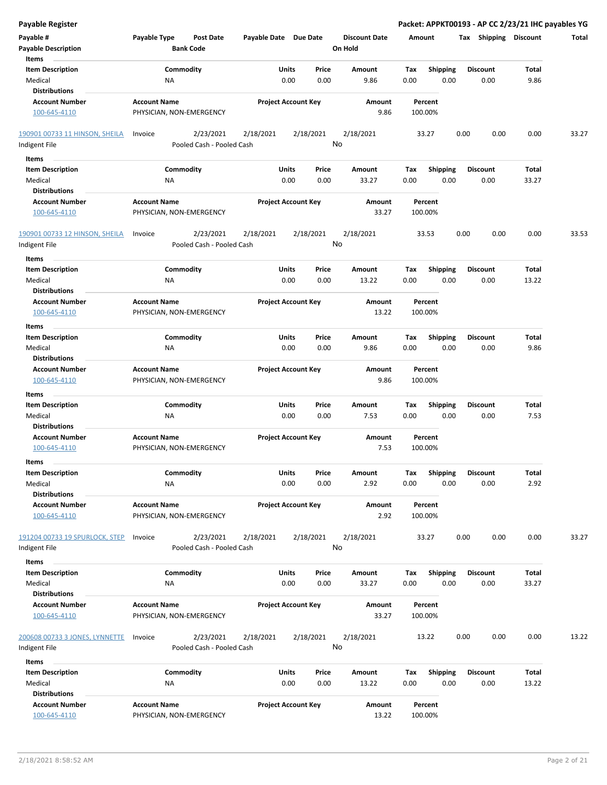| Payable #<br><b>Payable Description</b><br>Items | Payable Type        | <b>Post Date</b><br><b>Bank Code</b>   | Payable Date Due Date |                                | <b>Discount Date</b><br>On Hold | Amount             |                         | Shipping<br>Tax         | <b>Discount</b> | Total |
|--------------------------------------------------|---------------------|----------------------------------------|-----------------------|--------------------------------|---------------------------------|--------------------|-------------------------|-------------------------|-----------------|-------|
| <b>Item Description</b>                          |                     | Commodity                              |                       | Units<br>Price                 | Amount                          | Tax                | Shipping                | <b>Discount</b>         | Total           |       |
| Medical                                          | <b>NA</b>           |                                        |                       | 0.00<br>0.00                   | 9.86                            | 0.00               | 0.00                    | 0.00                    | 9.86            |       |
| <b>Distributions</b>                             |                     |                                        |                       |                                |                                 |                    |                         |                         |                 |       |
| <b>Account Number</b>                            | <b>Account Name</b> |                                        |                       | <b>Project Account Key</b>     | Amount                          | Percent            |                         |                         |                 |       |
| 100-645-4110                                     |                     | PHYSICIAN, NON-EMERGENCY               |                       |                                | 9.86                            | 100.00%            |                         |                         |                 |       |
| 190901 00733 11 HINSON, SHEILA<br>Indigent File  | Invoice             | 2/23/2021<br>Pooled Cash - Pooled Cash | 2/18/2021             | 2/18/2021                      | 2/18/2021<br>No                 | 33.27              |                         | 0.00<br>0.00            | 0.00            | 33.27 |
| Items                                            |                     |                                        |                       |                                |                                 |                    |                         |                         |                 |       |
| <b>Item Description</b>                          |                     | Commodity                              |                       | Units<br>Price                 | Amount                          | Tax                | <b>Shipping</b>         | <b>Discount</b>         | Total           |       |
| Medical                                          | ΝA                  |                                        |                       | 0.00<br>0.00                   | 33.27                           | 0.00               | 0.00                    | 0.00                    | 33.27           |       |
| <b>Distributions</b>                             |                     |                                        |                       |                                |                                 |                    |                         |                         |                 |       |
| <b>Account Number</b><br>100-645-4110            | <b>Account Name</b> | PHYSICIAN, NON-EMERGENCY               |                       | <b>Project Account Key</b>     | Amount<br>33.27                 | Percent<br>100.00% |                         |                         |                 |       |
| 190901 00733 12 HINSON, SHEILA<br>Indigent File  | Invoice             | 2/23/2021<br>Pooled Cash - Pooled Cash | 2/18/2021             | 2/18/2021                      | 2/18/2021<br>No                 | 33.53              |                         | 0.00<br>0.00            | 0.00            | 33.53 |
|                                                  |                     |                                        |                       |                                |                                 |                    |                         |                         |                 |       |
| Items<br><b>Item Description</b>                 |                     | Commodity                              |                       | Units<br>Price                 | Amount                          | Tax                |                         | <b>Discount</b>         | Total           |       |
| Medical                                          | ΝA                  |                                        |                       | 0.00<br>0.00                   | 13.22                           | 0.00               | <b>Shipping</b><br>0.00 | 0.00                    | 13.22           |       |
| <b>Distributions</b>                             |                     |                                        |                       |                                |                                 |                    |                         |                         |                 |       |
| <b>Account Number</b>                            | <b>Account Name</b> |                                        |                       | <b>Project Account Key</b>     | Amount                          | Percent            |                         |                         |                 |       |
| 100-645-4110                                     |                     | PHYSICIAN, NON-EMERGENCY               |                       |                                | 13.22                           | 100.00%            |                         |                         |                 |       |
|                                                  |                     |                                        |                       |                                |                                 |                    |                         |                         |                 |       |
| Items                                            |                     |                                        |                       |                                |                                 |                    |                         |                         |                 |       |
| <b>Item Description</b><br>Medical               | <b>NA</b>           | Commodity                              |                       | Units<br>Price<br>0.00<br>0.00 | Amount<br>9.86                  | Tax<br>0.00        | Shipping<br>0.00        | <b>Discount</b><br>0.00 | Total<br>9.86   |       |
| <b>Distributions</b>                             |                     |                                        |                       |                                |                                 |                    |                         |                         |                 |       |
| <b>Account Number</b><br>100-645-4110            | <b>Account Name</b> | PHYSICIAN, NON-EMERGENCY               |                       | <b>Project Account Key</b>     | Amount<br>9.86                  | Percent<br>100.00% |                         |                         |                 |       |
| Items                                            |                     |                                        |                       |                                |                                 |                    |                         |                         |                 |       |
| <b>Item Description</b>                          |                     | Commodity                              |                       | Units<br>Price                 | Amount                          | Tax                | <b>Shipping</b>         | <b>Discount</b>         | Total           |       |
| Medical                                          | <b>NA</b>           |                                        |                       | 0.00<br>0.00                   | 7.53                            | 0.00               | 0.00                    | 0.00                    | 7.53            |       |
| <b>Distributions</b>                             |                     |                                        |                       |                                |                                 |                    |                         |                         |                 |       |
| <b>Account Number</b>                            | <b>Account Name</b> |                                        |                       | <b>Project Account Key</b>     | Amount                          | Percent            |                         |                         |                 |       |
| 100-645-4110                                     |                     | PHYSICIAN, NON-EMERGENCY               |                       |                                | 7.53                            | 100.00%            |                         |                         |                 |       |
| Items                                            |                     |                                        |                       |                                |                                 |                    |                         |                         |                 |       |
| <b>Item Description</b><br>Medical               | ΝA                  | Commodity                              |                       | Units<br>Price<br>0.00<br>0.00 | Amount<br>2.92                  | Tax<br>0.00        | Shipping<br>0.00        | Discount<br>0.00        | Total<br>2.92   |       |
| <b>Distributions</b><br><b>Account Number</b>    | <b>Account Name</b> |                                        |                       | <b>Project Account Key</b>     | Amount                          | Percent            |                         |                         |                 |       |
| 100-645-4110                                     |                     | PHYSICIAN, NON-EMERGENCY               |                       |                                | 2.92                            | 100.00%            |                         |                         |                 |       |
| 191204 00733 19 SPURLOCK, STEP<br>Indigent File  | Invoice             | 2/23/2021<br>Pooled Cash - Pooled Cash | 2/18/2021             | 2/18/2021                      | 2/18/2021<br>No                 | 33.27              |                         | 0.00<br>0.00            | 0.00            | 33.27 |
| Items                                            |                     |                                        |                       |                                |                                 |                    |                         |                         |                 |       |
| <b>Item Description</b>                          |                     | Commodity                              |                       | Units<br>Price                 | Amount                          | Tax                | <b>Shipping</b>         | <b>Discount</b>         | Total           |       |
| Medical                                          | ΝA                  |                                        |                       | 0.00<br>0.00                   | 33.27                           | 0.00               | 0.00                    | 0.00                    | 33.27           |       |
| <b>Distributions</b>                             |                     |                                        |                       |                                |                                 |                    |                         |                         |                 |       |
| <b>Account Number</b><br>100-645-4110            | <b>Account Name</b> | PHYSICIAN, NON-EMERGENCY               |                       | <b>Project Account Key</b>     | Amount<br>33.27                 | Percent<br>100.00% |                         |                         |                 |       |
| <u>200608 00733 3 JONES, LYNNETTE</u>            | Invoice             | 2/23/2021                              | 2/18/2021             | 2/18/2021                      | 2/18/2021                       | 13.22              |                         | 0.00<br>0.00            | 0.00            | 13.22 |
| Indigent File                                    |                     | Pooled Cash - Pooled Cash              |                       |                                | No                              |                    |                         |                         |                 |       |
|                                                  |                     |                                        |                       |                                |                                 |                    |                         |                         |                 |       |
| Items                                            |                     |                                        |                       |                                |                                 |                    |                         |                         |                 |       |
| <b>Item Description</b>                          |                     | Commodity                              |                       | Units<br>Price                 | Amount                          | Tax                | <b>Shipping</b>         | <b>Discount</b>         | Total           |       |
| Medical                                          | NA                  |                                        |                       | 0.00<br>0.00                   | 13.22                           | 0.00               | 0.00                    | 0.00                    | 13.22           |       |
| <b>Distributions</b>                             |                     |                                        |                       |                                |                                 |                    |                         |                         |                 |       |
| <b>Account Number</b><br>100-645-4110            | <b>Account Name</b> | PHYSICIAN, NON-EMERGENCY               |                       | <b>Project Account Key</b>     | Amount<br>13.22                 | Percent<br>100.00% |                         |                         |                 |       |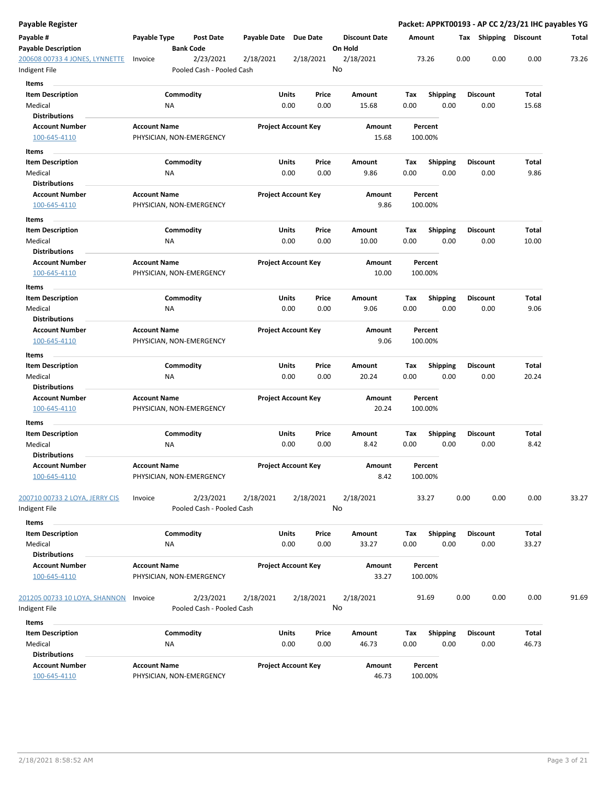| Payable Register                                |                                                 |                        |                                        |                            |               |               |                                 |                        |             |                         |      |                         |                | Packet: APPKT00193 - AP CC 2/23/21 IHC payables YG |
|-------------------------------------------------|-------------------------------------------------|------------------------|----------------------------------------|----------------------------|---------------|---------------|---------------------------------|------------------------|-------------|-------------------------|------|-------------------------|----------------|----------------------------------------------------|
| Payable #<br><b>Payable Description</b>         | Payable Type                                    | <b>Bank Code</b>       | <b>Post Date</b>                       | Payable Date Due Date      |               |               | <b>Discount Date</b><br>On Hold |                        | Amount      |                         |      | Tax Shipping Discount   |                | Total                                              |
| 200608 00733 4 JONES, LYNNETTE<br>Indigent File | Invoice                                         |                        | 2/23/2021<br>Pooled Cash - Pooled Cash | 2/18/2021                  |               | 2/18/2021     | 2/18/2021<br>No                 |                        |             | 73.26                   | 0.00 | 0.00                    | 0.00           | 73.26                                              |
| Items                                           |                                                 |                        |                                        |                            |               |               |                                 |                        |             |                         |      |                         |                |                                                    |
| <b>Item Description</b>                         |                                                 | Commodity              |                                        |                            | Units         | Price         | Amount                          |                        | Tax         | <b>Shipping</b>         |      | <b>Discount</b>         | Total          |                                                    |
| Medical                                         |                                                 | ΝA                     |                                        |                            | 0.00          | 0.00          |                                 | 15.68                  | 0.00        | 0.00                    |      | 0.00                    | 15.68          |                                                    |
| <b>Distributions</b>                            |                                                 |                        |                                        |                            |               |               |                                 |                        |             |                         |      |                         |                |                                                    |
| <b>Account Number</b>                           | <b>Account Name</b>                             |                        |                                        | <b>Project Account Key</b> |               |               |                                 | <b>Amount</b><br>15.68 |             | Percent                 |      |                         |                |                                                    |
| 100-645-4110                                    | PHYSICIAN, NON-EMERGENCY                        |                        |                                        |                            |               |               |                                 |                        |             | 100.00%                 |      |                         |                |                                                    |
| Items                                           |                                                 |                        |                                        |                            |               |               |                                 |                        |             |                         |      |                         |                |                                                    |
| <b>Item Description</b><br>Medical              |                                                 | Commodity<br>NA        |                                        |                            | Units<br>0.00 | Price<br>0.00 | Amount                          | 9.86                   | Тах<br>0.00 | <b>Shipping</b><br>0.00 |      | <b>Discount</b><br>0.00 | Total<br>9.86  |                                                    |
| <b>Distributions</b>                            |                                                 |                        |                                        |                            |               |               |                                 |                        |             |                         |      |                         |                |                                                    |
| <b>Account Number</b>                           | <b>Account Name</b>                             |                        |                                        | <b>Project Account Key</b> |               |               |                                 | Amount                 |             | Percent                 |      |                         |                |                                                    |
| 100-645-4110                                    | PHYSICIAN, NON-EMERGENCY                        |                        |                                        |                            |               |               |                                 | 9.86                   |             | 100.00%                 |      |                         |                |                                                    |
| Items                                           |                                                 |                        |                                        |                            |               |               |                                 |                        |             |                         |      |                         |                |                                                    |
| <b>Item Description</b>                         |                                                 | Commodity              |                                        |                            | Units         | Price         | Amount                          |                        | Tax         | <b>Shipping</b>         |      | <b>Discount</b>         | Total          |                                                    |
| Medical<br><b>Distributions</b>                 |                                                 | ΝA                     |                                        |                            | 0.00          | 0.00          |                                 | 10.00                  | 0.00        | 0.00                    |      | 0.00                    | 10.00          |                                                    |
| <b>Account Number</b><br>100-645-4110           | <b>Account Name</b><br>PHYSICIAN, NON-EMERGENCY |                        |                                        | <b>Project Account Key</b> |               |               |                                 | Amount<br>10.00        |             | Percent<br>100.00%      |      |                         |                |                                                    |
| Items                                           |                                                 |                        |                                        |                            |               |               |                                 |                        |             |                         |      |                         |                |                                                    |
| <b>Item Description</b><br>Medical              |                                                 | Commodity<br><b>NA</b> |                                        |                            | Units<br>0.00 | Price<br>0.00 | Amount                          | 9.06                   | Tax<br>0.00 | <b>Shipping</b><br>0.00 |      | <b>Discount</b><br>0.00 | Total<br>9.06  |                                                    |
| <b>Distributions</b><br><b>Account Number</b>   | <b>Account Name</b>                             |                        |                                        | <b>Project Account Key</b> |               |               |                                 | Amount                 |             | Percent                 |      |                         |                |                                                    |
| 100-645-4110                                    | PHYSICIAN, NON-EMERGENCY                        |                        |                                        |                            |               |               |                                 | 9.06                   |             | 100.00%                 |      |                         |                |                                                    |
| Items                                           |                                                 |                        |                                        |                            |               |               |                                 |                        |             |                         |      |                         |                |                                                    |
| <b>Item Description</b><br>Medical              |                                                 | Commodity<br>NA        |                                        |                            | Units<br>0.00 | Price<br>0.00 | Amount                          | 20.24                  | Tax<br>0.00 | <b>Shipping</b><br>0.00 |      | <b>Discount</b><br>0.00 | Total<br>20.24 |                                                    |
| Distributions                                   |                                                 |                        |                                        |                            |               |               |                                 |                        |             |                         |      |                         |                |                                                    |
| <b>Account Number</b><br>100-645-4110           | <b>Account Name</b><br>PHYSICIAN, NON-EMERGENCY |                        |                                        | <b>Project Account Key</b> |               |               |                                 | Amount<br>20.24        |             | Percent<br>100.00%      |      |                         |                |                                                    |
| Items                                           |                                                 |                        |                                        |                            |               |               |                                 |                        |             |                         |      |                         |                |                                                    |
| <b>Item Description</b>                         |                                                 | Commodity              |                                        |                            | Units         | Price         | Amount                          |                        | Tax         | <b>Shipping</b>         |      | <b>Discount</b>         | Total          |                                                    |
| Medical<br><b>Distributions</b>                 |                                                 | ΝA                     |                                        |                            | 0.00          | 0.00          |                                 | 8.42                   | 0.00        | 0.00                    |      | 0.00                    | 8.42           |                                                    |
| Account Number<br>100-645-4110                  | <b>Account Name</b><br>PHYSICIAN, NON-EMERGENCY |                        |                                        | <b>Project Account Key</b> |               |               |                                 | Amount<br>8.42         |             | Percent<br>100.00%      |      |                         |                |                                                    |
| 200710 00733 2 LOYA, JERRY CIS<br>ndigent File  | Invoice                                         |                        | 2/23/2021<br>Pooled Cash - Pooled Cash | 2/18/2021                  |               | 2/18/2021     | 2/18/2021<br>No                 |                        |             | 33.27                   | 0.00 | 0.00                    | 0.00           | 33.27                                              |
| Items                                           |                                                 |                        |                                        |                            |               |               |                                 |                        |             |                         |      |                         |                |                                                    |
| <b>Item Description</b><br>Medical              |                                                 | Commodity<br>ΝA        |                                        |                            | Units<br>0.00 | Price<br>0.00 | Amount                          | 33.27                  | Tax<br>0.00 | Shipping<br>0.00        |      | <b>Discount</b><br>0.00 | Total<br>33.27 |                                                    |
| <b>Distributions</b>                            |                                                 |                        |                                        |                            |               |               |                                 |                        |             |                         |      |                         |                |                                                    |
| <b>Account Number</b><br>100-645-4110           | <b>Account Name</b><br>PHYSICIAN, NON-EMERGENCY |                        |                                        | <b>Project Account Key</b> |               |               |                                 | Amount<br>33.27        |             | Percent<br>100.00%      |      |                         |                |                                                    |
| 201205 00733 10 LOYA, SHANNON<br>Indigent File  | Invoice                                         |                        | 2/23/2021<br>Pooled Cash - Pooled Cash | 2/18/2021                  |               | 2/18/2021     | 2/18/2021<br>No                 |                        |             | 91.69                   | 0.00 | 0.00                    | 0.00           | 91.69                                              |
| Items                                           |                                                 |                        |                                        |                            |               |               |                                 |                        |             |                         |      |                         |                |                                                    |
| <b>Item Description</b>                         |                                                 | Commodity              |                                        |                            | Units         | Price         | Amount                          |                        | Tax         | <b>Shipping</b>         |      | <b>Discount</b>         | Total          |                                                    |
| Medical<br><b>Distributions</b>                 |                                                 | ΝA                     |                                        |                            | 0.00          | 0.00          |                                 | 46.73                  | 0.00        | 0.00                    |      | 0.00                    | 46.73          |                                                    |
| <b>Account Number</b><br>100-645-4110           | <b>Account Name</b><br>PHYSICIAN, NON-EMERGENCY |                        |                                        | <b>Project Account Key</b> |               |               |                                 | Amount<br>46.73        |             | Percent<br>100.00%      |      |                         |                |                                                    |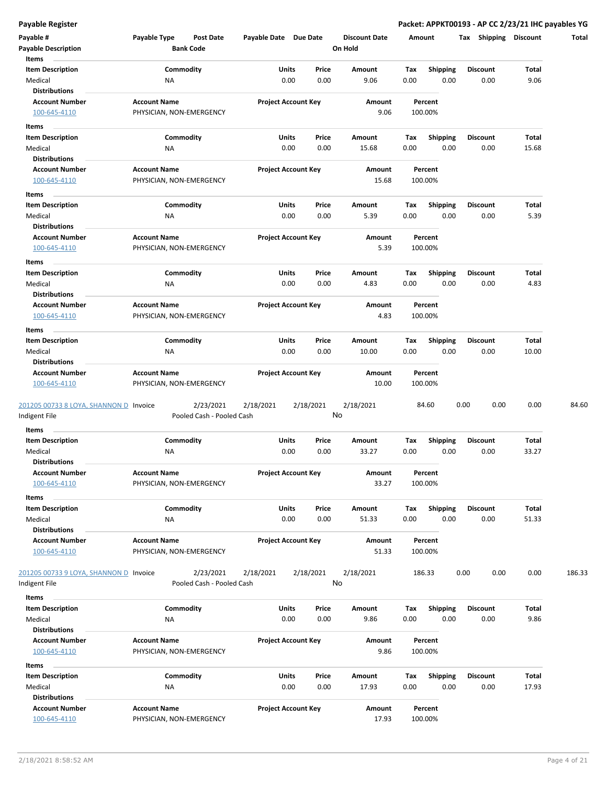| Payable #                                     | Payable Type<br><b>Post Date</b> | Payable Date Due Date      | <b>Discount Date</b>            | Amount                          | Shipping<br>Tax         | <b>Discount</b> | Total  |
|-----------------------------------------------|----------------------------------|----------------------------|---------------------------------|---------------------------------|-------------------------|-----------------|--------|
| <b>Payable Description</b>                    | <b>Bank Code</b>                 |                            | On Hold                         |                                 |                         |                 |        |
| Items                                         |                                  |                            |                                 |                                 |                         |                 |        |
| <b>Item Description</b><br>Medical            | Commodity<br>ΝA                  | <b>Units</b><br>0.00       | Price<br>Amount<br>0.00<br>9.06 | Shipping<br>Tax<br>0.00<br>0.00 | <b>Discount</b><br>0.00 | Total<br>9.06   |        |
| <b>Distributions</b>                          |                                  |                            |                                 |                                 |                         |                 |        |
| <b>Account Number</b>                         | <b>Account Name</b>              | <b>Project Account Key</b> | Amount                          | Percent                         |                         |                 |        |
| 100-645-4110                                  | PHYSICIAN, NON-EMERGENCY         |                            | 9.06                            | 100.00%                         |                         |                 |        |
| Items                                         |                                  |                            |                                 |                                 |                         |                 |        |
| <b>Item Description</b>                       | Commodity                        | Units                      | Price<br>Amount                 | Tax<br><b>Shipping</b>          | <b>Discount</b>         | Total           |        |
| Medical                                       | <b>NA</b>                        | 0.00                       | 0.00<br>15.68                   | 0.00<br>0.00                    | 0.00                    | 15.68           |        |
| <b>Distributions</b>                          |                                  |                            |                                 |                                 |                         |                 |        |
| <b>Account Number</b>                         | <b>Account Name</b>              | <b>Project Account Key</b> | Amount                          | Percent                         |                         |                 |        |
| 100-645-4110                                  | PHYSICIAN, NON-EMERGENCY         |                            | 15.68                           | 100.00%                         |                         |                 |        |
| Items                                         |                                  |                            |                                 |                                 |                         |                 |        |
| <b>Item Description</b>                       | Commodity                        | Units                      | Price<br>Amount                 | Tax<br><b>Shipping</b>          | Discount                | Total           |        |
| Medical                                       | NA                               | 0.00                       | 0.00<br>5.39                    | 0.00<br>0.00                    | 0.00                    | 5.39            |        |
| <b>Distributions</b>                          |                                  |                            |                                 |                                 |                         |                 |        |
| <b>Account Number</b>                         | <b>Account Name</b>              | <b>Project Account Key</b> | Amount                          | Percent                         |                         |                 |        |
| 100-645-4110                                  | PHYSICIAN, NON-EMERGENCY         |                            | 5.39                            | 100.00%                         |                         |                 |        |
| Items                                         |                                  |                            |                                 |                                 |                         |                 |        |
| <b>Item Description</b>                       | Commodity                        | Units                      | Price<br>Amount                 | Tax<br><b>Shipping</b>          | <b>Discount</b>         | Total           |        |
| Medical                                       | ΝA                               | 0.00                       | 0.00<br>4.83                    | 0.00<br>0.00                    | 0.00                    | 4.83            |        |
| <b>Distributions</b><br><b>Account Number</b> | <b>Account Name</b>              | <b>Project Account Key</b> | Amount                          | Percent                         |                         |                 |        |
| 100-645-4110                                  | PHYSICIAN, NON-EMERGENCY         |                            | 4.83                            | 100.00%                         |                         |                 |        |
|                                               |                                  |                            |                                 |                                 |                         |                 |        |
| Items<br><b>Item Description</b>              | Commodity                        | Units                      | Price<br>Amount                 | <b>Shipping</b><br>Тах          | <b>Discount</b>         | Total           |        |
| Medical                                       | NA                               | 0.00                       | 0.00<br>10.00                   | 0.00<br>0.00                    | 0.00                    | 10.00           |        |
| <b>Distributions</b>                          |                                  |                            |                                 |                                 |                         |                 |        |
| <b>Account Number</b>                         | <b>Account Name</b>              | <b>Project Account Key</b> | Amount                          | Percent                         |                         |                 |        |
| 100-645-4110                                  | PHYSICIAN, NON-EMERGENCY         |                            | 10.00                           | 100.00%                         |                         |                 |        |
|                                               |                                  |                            |                                 |                                 |                         |                 |        |
| 201205 00733 8 LOYA, SHANNON D Invoice        | 2/23/2021                        | 2/18/2021<br>2/18/2021     | 2/18/2021                       | 84.60                           | 0.00<br>0.00            | 0.00            | 84.60  |
| Indigent File                                 | Pooled Cash - Pooled Cash        |                            | No                              |                                 |                         |                 |        |
| Items                                         |                                  |                            |                                 |                                 |                         |                 |        |
| <b>Item Description</b>                       | Commodity                        | Units                      | Price<br>Amount                 | Tax<br><b>Shipping</b>          | <b>Discount</b>         | Total           |        |
| Medical<br><b>Distributions</b>               | <b>NA</b>                        | 0.00                       | 0.00<br>33.27                   | 0.00<br>0.00                    | 0.00                    | 33.27           |        |
| <b>Account Number</b>                         | <b>Account Name</b>              | <b>Project Account Key</b> | Amount                          | Percent                         |                         |                 |        |
| 100-645-4110                                  | PHYSICIAN, NON-EMERGENCY         |                            | 33.27                           | 100.00%                         |                         |                 |        |
| Items                                         |                                  |                            |                                 |                                 |                         |                 |        |
| <b>Item Description</b>                       | Commodity                        | Units                      | Price<br>Amount                 | Tax<br>Shipping                 | <b>Discount</b>         | Total           |        |
| Medical                                       | <b>NA</b>                        | 0.00                       | 0.00<br>51.33                   | 0.00<br>0.00                    | 0.00                    | 51.33           |        |
| <b>Distributions</b>                          |                                  |                            |                                 |                                 |                         |                 |        |
| <b>Account Number</b>                         | <b>Account Name</b>              | <b>Project Account Key</b> | Amount                          | Percent                         |                         |                 |        |
| 100-645-4110                                  | PHYSICIAN, NON-EMERGENCY         |                            | 51.33                           | 100.00%                         |                         |                 |        |
|                                               |                                  |                            |                                 |                                 |                         |                 |        |
| 201205 00733 9 LOYA, SHANNON D Invoice        | 2/23/2021                        | 2/18/2021<br>2/18/2021     | 2/18/2021<br>No                 | 186.33                          | 0.00<br>0.00            | 0.00            | 186.33 |
| Indigent File                                 | Pooled Cash - Pooled Cash        |                            |                                 |                                 |                         |                 |        |
| Items                                         |                                  |                            |                                 |                                 |                         |                 |        |
| <b>Item Description</b>                       | Commodity                        | Units                      | Price<br>Amount                 | <b>Shipping</b><br>Tax          | <b>Discount</b>         | Total           |        |
| Medical<br><b>Distributions</b>               | NA                               | 0.00                       | 0.00<br>9.86                    | 0.00<br>0.00                    | 0.00                    | 9.86            |        |
| <b>Account Number</b>                         | <b>Account Name</b>              | <b>Project Account Key</b> | Amount                          | Percent                         |                         |                 |        |
| 100-645-4110                                  | PHYSICIAN, NON-EMERGENCY         |                            | 9.86                            | 100.00%                         |                         |                 |        |
|                                               |                                  |                            |                                 |                                 |                         |                 |        |
| Items<br><b>Item Description</b>              | Commodity                        | Units                      | Price<br>Amount                 | Shipping<br>Tax                 | <b>Discount</b>         | Total           |        |
| Medical                                       | <b>NA</b>                        | 0.00                       | 0.00<br>17.93                   | 0.00<br>0.00                    | 0.00                    | 17.93           |        |
| <b>Distributions</b>                          |                                  |                            |                                 |                                 |                         |                 |        |
| <b>Account Number</b>                         | <b>Account Name</b>              | <b>Project Account Key</b> | Amount                          | Percent                         |                         |                 |        |
| 100-645-4110                                  | PHYSICIAN, NON-EMERGENCY         |                            | 17.93                           | 100.00%                         |                         |                 |        |
|                                               |                                  |                            |                                 |                                 |                         |                 |        |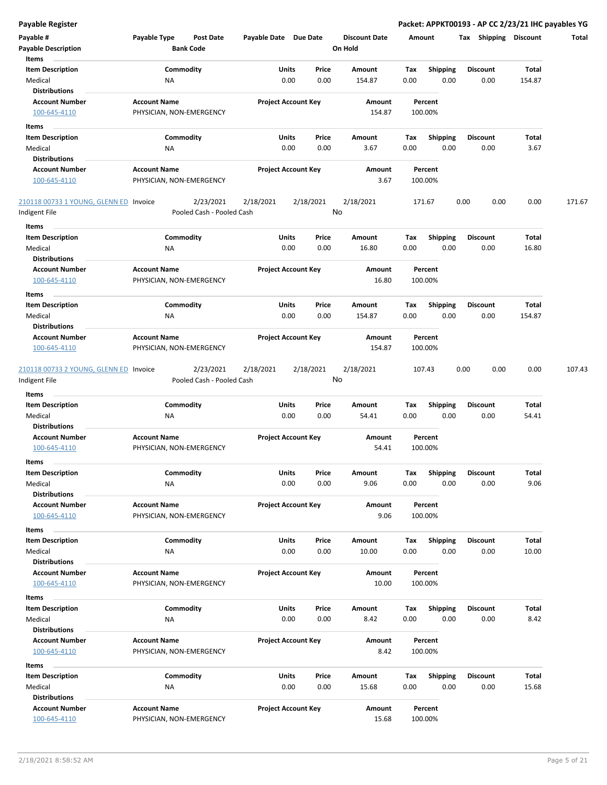| <b>Payable Register</b>                                 |                                                 |                            |           |                      |         |                    |                 | Packet: APPKT00193 - AP CC 2/23/21 IHC payables YG |        |
|---------------------------------------------------------|-------------------------------------------------|----------------------------|-----------|----------------------|---------|--------------------|-----------------|----------------------------------------------------|--------|
| Payable #                                               | Payable Type<br><b>Post Date</b>                | Payable Date Due Date      |           | <b>Discount Date</b> | Amount  |                    |                 | Tax Shipping Discount                              | Total  |
| <b>Payable Description</b>                              | <b>Bank Code</b>                                |                            |           | On Hold              |         |                    |                 |                                                    |        |
| Items                                                   |                                                 |                            |           |                      |         |                    |                 |                                                    |        |
| <b>Item Description</b>                                 | Commodity                                       | Units                      | Price     | Amount               | Tax     | <b>Shipping</b>    | <b>Discount</b> | <b>Total</b>                                       |        |
| Medical<br><b>Distributions</b>                         | <b>NA</b>                                       | 0.00                       | 0.00      | 154.87               | 0.00    | 0.00               | 0.00            | 154.87                                             |        |
| <b>Account Number</b>                                   | <b>Account Name</b>                             | <b>Project Account Key</b> |           | Amount               |         | Percent            |                 |                                                    |        |
| 100-645-4110                                            | PHYSICIAN, NON-EMERGENCY                        |                            |           | 154.87               | 100.00% |                    |                 |                                                    |        |
| Items                                                   |                                                 |                            |           |                      |         |                    |                 |                                                    |        |
| <b>Item Description</b>                                 | Commodity                                       | Units                      | Price     | Amount               | Tax     | <b>Shipping</b>    | <b>Discount</b> | Total                                              |        |
| Medical                                                 | ΝA                                              | 0.00                       | 0.00      | 3.67                 | 0.00    | 0.00               | 0.00            | 3.67                                               |        |
| <b>Distributions</b>                                    |                                                 |                            |           |                      |         |                    |                 |                                                    |        |
| <b>Account Number</b>                                   | <b>Account Name</b>                             | <b>Project Account Key</b> |           | Amount               |         | Percent            |                 |                                                    |        |
| 100-645-4110                                            | PHYSICIAN, NON-EMERGENCY                        |                            |           | 3.67                 | 100.00% |                    |                 |                                                    |        |
| 210118 00733 1 YOUNG, GLENN ED Invoice                  | 2/23/2021                                       | 2/18/2021                  | 2/18/2021 | 2/18/2021            | 171.67  |                    | 0.00            | 0.00<br>0.00                                       | 171.67 |
| Indigent File                                           | Pooled Cash - Pooled Cash                       |                            |           | No                   |         |                    |                 |                                                    |        |
| Items                                                   |                                                 |                            |           |                      |         |                    |                 |                                                    |        |
| <b>Item Description</b>                                 | Commodity                                       | Units                      | Price     | Amount               | Tax     | <b>Shipping</b>    | <b>Discount</b> | <b>Total</b>                                       |        |
| Medical                                                 | ΝA                                              | 0.00                       | 0.00      | 16.80                | 0.00    | 0.00               | 0.00            | 16.80                                              |        |
| <b>Distributions</b>                                    |                                                 |                            |           |                      |         |                    |                 |                                                    |        |
| <b>Account Number</b>                                   | <b>Account Name</b>                             | <b>Project Account Key</b> |           | Amount               |         | Percent            |                 |                                                    |        |
| 100-645-4110                                            | PHYSICIAN, NON-EMERGENCY                        |                            |           | 16.80                | 100.00% |                    |                 |                                                    |        |
| Items                                                   |                                                 |                            |           |                      |         |                    |                 |                                                    |        |
| <b>Item Description</b>                                 | Commodity                                       | Units                      | Price     | Amount               | Tax     | <b>Shipping</b>    | <b>Discount</b> | Total                                              |        |
| Medical                                                 | <b>NA</b>                                       | 0.00                       | 0.00      | 154.87               | 0.00    | 0.00               | 0.00            | 154.87                                             |        |
| <b>Distributions</b>                                    |                                                 |                            |           |                      |         |                    |                 |                                                    |        |
| <b>Account Number</b><br>100-645-4110                   | <b>Account Name</b><br>PHYSICIAN, NON-EMERGENCY | <b>Project Account Key</b> |           | Amount<br>154.87     | 100.00% | Percent            |                 |                                                    |        |
| 210118 00733 2 YOUNG, GLENN ED Invoice<br>Indigent File | 2/23/2021<br>Pooled Cash - Pooled Cash          | 2/18/2021                  | 2/18/2021 | 2/18/2021<br>No      | 107.43  |                    | 0.00            | 0.00<br>0.00                                       | 107.43 |
| Items                                                   |                                                 |                            |           |                      |         |                    |                 |                                                    |        |
| <b>Item Description</b>                                 | Commodity                                       | Units                      | Price     | Amount               | Tax     | <b>Shipping</b>    | <b>Discount</b> | Total                                              |        |
| Medical                                                 | <b>NA</b>                                       | 0.00                       | 0.00      | 54.41                | 0.00    | 0.00               | 0.00            | 54.41                                              |        |
| <b>Distributions</b>                                    |                                                 |                            |           |                      |         |                    |                 |                                                    |        |
| <b>Account Number</b>                                   | <b>Account Name</b>                             | <b>Project Account Key</b> |           | Amount               |         | Percent            |                 |                                                    |        |
| 100-645-4110                                            | PHYSICIAN, NON-EMERGENCY                        |                            |           | 54.41                | 100.00% |                    |                 |                                                    |        |
| ltems                                                   |                                                 |                            |           |                      |         |                    |                 |                                                    |        |
| <b>Item Description</b>                                 | Commodity                                       | Units                      | Price     | Amount               | Tax     | <b>Shipping</b>    | <b>Discount</b> | Total                                              |        |
| Medical<br><b>Distributions</b>                         | ΝA                                              | 0.00                       | 0.00      | 9.06                 | 0.00    | 0.00               | 0.00            | 9.06                                               |        |
| <b>Account Number</b>                                   | <b>Account Name</b>                             | <b>Project Account Key</b> |           | Amount               |         | Percent            |                 |                                                    |        |
| 100-645-4110                                            | PHYSICIAN, NON-EMERGENCY                        |                            |           | 9.06                 | 100.00% |                    |                 |                                                    |        |
| Items                                                   |                                                 |                            |           |                      |         |                    |                 |                                                    |        |
| <b>Item Description</b>                                 | Commodity                                       | Units                      | Price     | Amount               | Tax     | <b>Shipping</b>    | <b>Discount</b> | Total                                              |        |
| Medical                                                 | ΝA                                              | 0.00                       | 0.00      | 10.00                | 0.00    | 0.00               | 0.00            | 10.00                                              |        |
| <b>Distributions</b>                                    |                                                 |                            |           |                      |         |                    |                 |                                                    |        |
| <b>Account Number</b>                                   | <b>Account Name</b>                             | <b>Project Account Key</b> |           | Amount               |         | Percent            |                 |                                                    |        |
| 100-645-4110                                            | PHYSICIAN, NON-EMERGENCY                        |                            |           | 10.00                | 100.00% |                    |                 |                                                    |        |
| Items                                                   |                                                 |                            |           |                      |         |                    |                 |                                                    |        |
| <b>Item Description</b>                                 | Commodity                                       | Units                      | Price     | Amount               | Tax     | <b>Shipping</b>    | <b>Discount</b> | Total                                              |        |
| Medical<br><b>Distributions</b>                         | NA                                              | 0.00                       | 0.00      | 8.42                 | 0.00    | 0.00               | 0.00            | 8.42                                               |        |
| <b>Account Number</b>                                   | <b>Account Name</b>                             | <b>Project Account Key</b> |           | Amount               |         | Percent            |                 |                                                    |        |
| 100-645-4110                                            | PHYSICIAN, NON-EMERGENCY                        |                            |           | 8.42                 | 100.00% |                    |                 |                                                    |        |
| Items                                                   |                                                 |                            |           |                      |         |                    |                 |                                                    |        |
| <b>Item Description</b>                                 | Commodity                                       | Units                      | Price     | Amount               | Тах     | <b>Shipping</b>    | <b>Discount</b> | Total                                              |        |
| Medical                                                 | NA                                              | 0.00                       | 0.00      | 15.68                | 0.00    | 0.00               | 0.00            | 15.68                                              |        |
| <b>Distributions</b>                                    |                                                 |                            |           |                      |         |                    |                 |                                                    |        |
| <b>Account Number</b><br>100-645-4110                   | <b>Account Name</b><br>PHYSICIAN, NON-EMERGENCY | <b>Project Account Key</b> |           | Amount<br>15.68      |         | Percent<br>100.00% |                 |                                                    |        |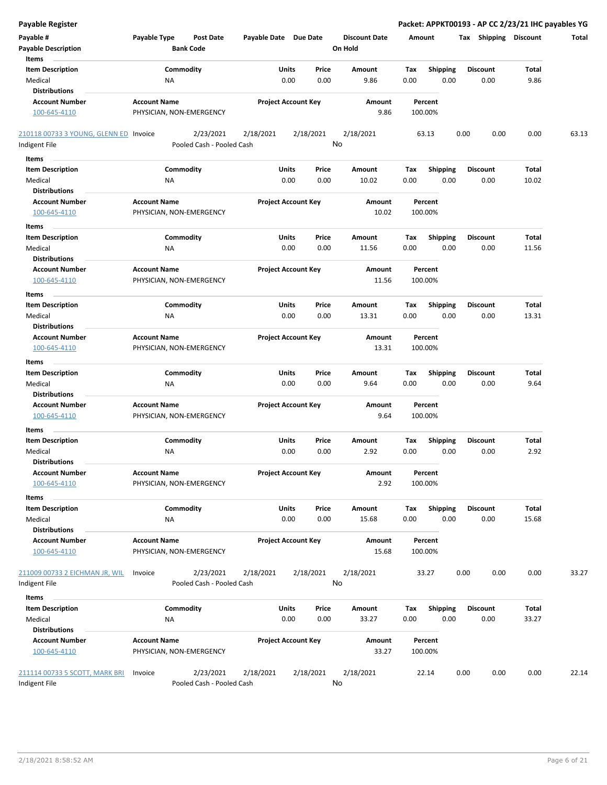| <b>Payable Register</b>                |                                  |                       |                            |                      | Packet: APPKT00193 - AP CC 2/23/21 IHC payables YG |                         |                         |                |       |
|----------------------------------------|----------------------------------|-----------------------|----------------------------|----------------------|----------------------------------------------------|-------------------------|-------------------------|----------------|-------|
| Payable #                              | Payable Type<br><b>Post Date</b> | Payable Date Due Date |                            | <b>Discount Date</b> | Amount                                             |                         | Tax Shipping Discount   |                | Total |
| <b>Payable Description</b>             | <b>Bank Code</b>                 |                       |                            | On Hold              |                                                    |                         |                         |                |       |
| Items                                  |                                  |                       |                            |                      |                                                    |                         |                         |                |       |
| <b>Item Description</b>                | Commodity                        | Units                 | Price                      | <b>Amount</b>        | Tax                                                | <b>Shipping</b>         | <b>Discount</b>         | Total          |       |
| Medical                                | ΝA                               |                       | 0.00<br>0.00               | 9.86                 | 0.00                                               | 0.00                    | 0.00                    | 9.86           |       |
| <b>Distributions</b>                   |                                  |                       |                            |                      |                                                    |                         |                         |                |       |
| <b>Account Number</b>                  | <b>Account Name</b>              |                       | <b>Project Account Key</b> | Amount               | Percent                                            |                         |                         |                |       |
| 100-645-4110                           | PHYSICIAN, NON-EMERGENCY         |                       |                            | 9.86                 | 100.00%                                            |                         |                         |                |       |
| 210118 00733 3 YOUNG, GLENN ED Invoice | 2/23/2021                        | 2/18/2021             | 2/18/2021                  | 2/18/2021            | 63.13                                              | 0.00                    | 0.00                    | 0.00           | 63.13 |
| Indigent File                          | Pooled Cash - Pooled Cash        |                       |                            | No                   |                                                    |                         |                         |                |       |
| Items                                  |                                  |                       |                            |                      |                                                    |                         |                         |                |       |
| <b>Item Description</b>                | Commodity                        | Units                 | Price                      | Amount               | Tax                                                | <b>Shipping</b>         | <b>Discount</b>         | Total          |       |
| Medical                                | ΝA                               |                       | 0.00<br>0.00               | 10.02                | 0.00                                               | 0.00                    | 0.00                    | 10.02          |       |
| <b>Distributions</b>                   |                                  |                       |                            |                      |                                                    |                         |                         |                |       |
| <b>Account Number</b>                  | <b>Account Name</b>              |                       | <b>Project Account Key</b> | Amount               | Percent                                            |                         |                         |                |       |
| 100-645-4110                           | PHYSICIAN, NON-EMERGENCY         |                       |                            | 10.02                | 100.00%                                            |                         |                         |                |       |
| Items                                  |                                  |                       |                            |                      |                                                    |                         |                         |                |       |
| <b>Item Description</b>                | Commodity                        | Units                 | Price                      | Amount               | Tax                                                | <b>Shipping</b>         | <b>Discount</b>         | Total          |       |
| Medical                                | ΝA                               |                       | 0.00<br>0.00               | 11.56                | 0.00                                               | 0.00                    | 0.00                    | 11.56          |       |
| <b>Distributions</b>                   |                                  |                       |                            |                      |                                                    |                         |                         |                |       |
| <b>Account Number</b>                  | <b>Account Name</b>              |                       | <b>Project Account Key</b> | Amount               | Percent                                            |                         |                         |                |       |
| 100-645-4110                           | PHYSICIAN, NON-EMERGENCY         |                       |                            | 11.56                | 100.00%                                            |                         |                         |                |       |
| Items                                  |                                  |                       |                            |                      |                                                    |                         |                         |                |       |
| <b>Item Description</b>                | Commodity                        | Units                 | Price                      | Amount               | Tax                                                | <b>Shipping</b>         | <b>Discount</b>         | Total          |       |
| Medical                                | ΝA                               |                       | 0.00<br>0.00               | 13.31                | 0.00                                               | 0.00                    | 0.00                    | 13.31          |       |
| <b>Distributions</b>                   |                                  |                       |                            |                      |                                                    |                         |                         |                |       |
| <b>Account Number</b>                  | <b>Account Name</b>              |                       | <b>Project Account Key</b> | Amount               | Percent                                            |                         |                         |                |       |
| 100-645-4110                           | PHYSICIAN, NON-EMERGENCY         |                       |                            | 13.31                | 100.00%                                            |                         |                         |                |       |
| Items                                  |                                  |                       |                            |                      |                                                    |                         |                         |                |       |
| <b>Item Description</b>                | Commodity                        | Units                 | Price                      | Amount               | Tax                                                | <b>Shipping</b>         | <b>Discount</b>         | Total          |       |
| Medical                                | ΝA                               |                       | 0.00<br>0.00               | 9.64                 | 0.00                                               | 0.00                    | 0.00                    | 9.64           |       |
| <b>Distributions</b>                   |                                  |                       |                            |                      |                                                    |                         |                         |                |       |
| <b>Account Number</b>                  | <b>Account Name</b>              |                       | <b>Project Account Key</b> | Amount               | Percent                                            |                         |                         |                |       |
| 100-645-4110                           | PHYSICIAN, NON-EMERGENCY         |                       |                            | 9.64                 | 100.00%                                            |                         |                         |                |       |
| Items                                  |                                  |                       |                            |                      |                                                    |                         |                         |                |       |
| <b>Item Description</b>                | Commodity                        | Units                 | Price                      | Amount               | Tax                                                | <b>Shipping</b>         | <b>Discount</b>         | Total          |       |
| Medical                                | ΝA                               |                       | 0.00<br>0.00               | 2.92                 | 0.00                                               | 0.00                    | 0.00                    | 2.92           |       |
| <b>Distributions</b>                   |                                  |                       |                            |                      |                                                    |                         |                         |                |       |
| <b>Account Number</b>                  | <b>Account Name</b>              |                       | <b>Project Account Key</b> | Amount               | Percent                                            |                         |                         |                |       |
| 100-645-4110                           | PHYSICIAN, NON-EMERGENCY         |                       |                            | 2.92                 | 100.00%                                            |                         |                         |                |       |
|                                        |                                  |                       |                            |                      |                                                    |                         |                         |                |       |
| Items                                  |                                  |                       |                            |                      |                                                    |                         |                         |                |       |
| <b>Item Description</b><br>Medical     | Commodity<br>NA                  | Units                 | Price<br>0.00<br>0.00      | Amount<br>15.68      | Tax<br>0.00                                        | <b>Shipping</b><br>0.00 | <b>Discount</b><br>0.00 | Total<br>15.68 |       |
| <b>Distributions</b>                   |                                  |                       |                            |                      |                                                    |                         |                         |                |       |
| <b>Account Number</b>                  | <b>Account Name</b>              |                       | <b>Project Account Key</b> | Amount               | Percent                                            |                         |                         |                |       |
| 100-645-4110                           | PHYSICIAN, NON-EMERGENCY         |                       |                            | 15.68                | 100.00%                                            |                         |                         |                |       |
|                                        |                                  |                       |                            |                      |                                                    |                         |                         |                |       |
| 211009 00733 2 EICHMAN JR, WIL         | 2/23/2021<br>Invoice             | 2/18/2021             | 2/18/2021                  | 2/18/2021            | 33.27                                              | 0.00                    | 0.00                    | 0.00           | 33.27 |
| Indigent File                          | Pooled Cash - Pooled Cash        |                       |                            | No                   |                                                    |                         |                         |                |       |
|                                        |                                  |                       |                            |                      |                                                    |                         |                         |                |       |
| Items<br><b>Item Description</b>       | Commodity                        | Units                 | Price                      | Amount               | Tax                                                | <b>Shipping</b>         | <b>Discount</b>         | Total          |       |
|                                        |                                  |                       |                            |                      |                                                    |                         |                         |                |       |
| Medical<br><b>Distributions</b>        | NA                               |                       | 0.00<br>0.00               | 33.27                | 0.00                                               | 0.00                    | 0.00                    | 33.27          |       |
| <b>Account Number</b>                  | <b>Account Name</b>              |                       | <b>Project Account Key</b> | Amount               | Percent                                            |                         |                         |                |       |
| 100-645-4110                           | PHYSICIAN, NON-EMERGENCY         |                       |                            | 33.27                | 100.00%                                            |                         |                         |                |       |
|                                        |                                  |                       |                            |                      |                                                    |                         |                         |                |       |
| 211114 00733 5 SCOTT, MARK BRI         | 2/23/2021<br>Invoice             | 2/18/2021             | 2/18/2021                  | 2/18/2021            | 22.14                                              | 0.00                    | 0.00                    | 0.00           | 22.14 |
| Indigent File                          | Pooled Cash - Pooled Cash        |                       |                            | No                   |                                                    |                         |                         |                |       |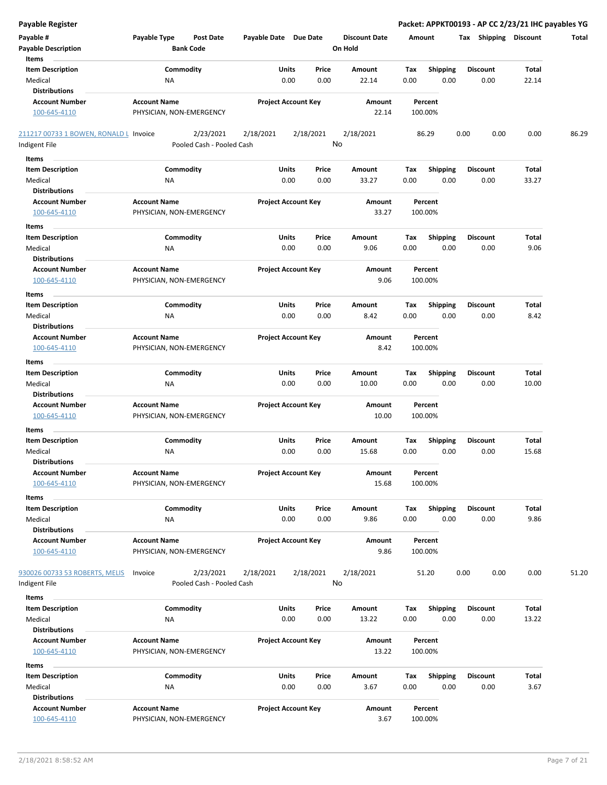| Payable #<br><b>Payable Description</b><br>Items                    | Payable Type<br>Post Date<br><b>Bank Code</b>     | Payable Date Due Date      |                            | <b>Discount Date</b><br>On Hold | Amount             |                         | <b>Shipping Discount</b><br>Tax |                | Total |
|---------------------------------------------------------------------|---------------------------------------------------|----------------------------|----------------------------|---------------------------------|--------------------|-------------------------|---------------------------------|----------------|-------|
| <b>Item Description</b><br>Medical                                  | Commodity<br>ΝA                                   | Units<br>0.00              | Price<br>0.00              | Amount<br>22.14                 | Tax<br>0.00        | <b>Shipping</b><br>0.00 | <b>Discount</b><br>0.00         | Total<br>22.14 |       |
| <b>Distributions</b><br><b>Account Number</b><br>100-645-4110       | <b>Account Name</b><br>PHYSICIAN, NON-EMERGENCY   |                            | <b>Project Account Key</b> | Amount<br>22.14                 | Percent<br>100.00% |                         |                                 |                |       |
| 211217 00733 1 BOWEN, RONALD L Invoice<br>Indigent File             | 2/23/2021<br>Pooled Cash - Pooled Cash            | 2/18/2021                  | 2/18/2021                  | 2/18/2021<br>No                 | 86.29              |                         | 0.00<br>0.00                    | 0.00           | 86.29 |
| Items                                                               |                                                   |                            |                            |                                 |                    |                         |                                 |                |       |
| <b>Item Description</b><br>Medical<br><b>Distributions</b>          | Commodity<br>ΝA                                   | Units<br>0.00              | Price<br>0.00              | Amount<br>33.27                 | Tax<br>0.00        | <b>Shipping</b><br>0.00 | <b>Discount</b><br>0.00         | Total<br>33.27 |       |
| <b>Account Number</b><br>100-645-4110                               | <b>Account Name</b><br>PHYSICIAN, NON-EMERGENCY   | <b>Project Account Key</b> |                            | Amount<br>33.27                 | Percent<br>100.00% |                         |                                 |                |       |
| Items<br><b>Item Description</b><br>Medical<br><b>Distributions</b> | Commodity<br><b>NA</b>                            | Units<br>0.00              | Price<br>0.00              | Amount<br>9.06                  | Tax<br>0.00        | <b>Shipping</b><br>0.00 | <b>Discount</b><br>0.00         | Total<br>9.06  |       |
| <b>Account Number</b><br>100-645-4110                               | <b>Account Name</b><br>PHYSICIAN, NON-EMERGENCY   |                            | <b>Project Account Key</b> | Amount<br>9.06                  | Percent<br>100.00% |                         |                                 |                |       |
| Items<br><b>Item Description</b><br>Medical                         | Commodity<br>ΝA                                   | Units<br>0.00              | Price<br>0.00              | Amount<br>8.42                  | Tax<br>0.00        | <b>Shipping</b><br>0.00 | <b>Discount</b><br>0.00         | Total<br>8.42  |       |
| <b>Distributions</b><br><b>Account Number</b><br>100-645-4110       | <b>Account Name</b><br>PHYSICIAN, NON-EMERGENCY   |                            | <b>Project Account Key</b> | Amount<br>8.42                  | Percent<br>100.00% |                         |                                 |                |       |
| Items<br><b>Item Description</b>                                    | Commodity                                         | Units                      | Price                      | Amount                          | Тах                | <b>Shipping</b>         | <b>Discount</b>                 | Total          |       |
| Medical<br><b>Distributions</b>                                     | <b>NA</b>                                         | 0.00                       | 0.00                       | 10.00                           | 0.00               | 0.00                    | 0.00                            | 10.00          |       |
| <b>Account Number</b><br>100-645-4110                               | <b>Account Name</b><br>PHYSICIAN, NON-EMERGENCY   |                            | <b>Project Account Key</b> | Amount<br>10.00                 | Percent<br>100.00% |                         |                                 |                |       |
| Items<br><b>Item Description</b><br>Medical<br><b>Distributions</b> | Commodity<br><b>NA</b>                            | Units<br>0.00              | Price<br>0.00              | Amount<br>15.68                 | Tax<br>0.00        | <b>Shipping</b><br>0.00 | <b>Discount</b><br>0.00         | Total<br>15.68 |       |
| Account Number<br>100-645-4110                                      | <b>Account Name</b><br>PHYSICIAN, NON-EMERGENCY   |                            | <b>Project Account Key</b> | Amount<br>15.68                 | Percent<br>100.00% |                         |                                 |                |       |
| Items<br><b>Item Description</b><br>Medical                         | Commodity<br>ΝA                                   | Units<br>0.00              | Price<br>0.00              | Amount<br>9.86                  | Tax<br>0.00        | <b>Shipping</b><br>0.00 | <b>Discount</b><br>0.00         | Total<br>9.86  |       |
| <b>Distributions</b><br><b>Account Number</b><br>100-645-4110       | <b>Account Name</b><br>PHYSICIAN, NON-EMERGENCY   |                            | <b>Project Account Key</b> | Amount<br>9.86                  | Percent<br>100.00% |                         |                                 |                |       |
| 930026 00733 53 ROBERTS, MELIS<br>Indigent File                     | 2/23/2021<br>Invoice<br>Pooled Cash - Pooled Cash | 2/18/2021                  | 2/18/2021                  | 2/18/2021<br>No                 | 51.20              |                         | 0.00<br>0.00                    | 0.00           | 51.20 |
| Items<br><b>Item Description</b>                                    | Commodity                                         | Units                      | Price                      | Amount                          | Tax                | <b>Shipping</b>         | <b>Discount</b>                 | Total          |       |
| Medical<br><b>Distributions</b>                                     | ΝA                                                | 0.00                       | 0.00                       | 13.22                           | 0.00               | 0.00                    | 0.00                            | 13.22          |       |
| <b>Account Number</b><br>100-645-4110                               | <b>Account Name</b><br>PHYSICIAN, NON-EMERGENCY   |                            | <b>Project Account Key</b> | Amount<br>13.22                 | Percent<br>100.00% |                         |                                 |                |       |
| Items                                                               |                                                   |                            |                            |                                 |                    |                         |                                 |                |       |
| <b>Item Description</b><br>Medical<br><b>Distributions</b>          | Commodity<br>NA                                   | Units<br>0.00              | Price<br>0.00              | Amount<br>3.67                  | Тах<br>0.00        | <b>Shipping</b><br>0.00 | <b>Discount</b><br>0.00         | Total<br>3.67  |       |
| <b>Account Number</b><br>100-645-4110                               | <b>Account Name</b><br>PHYSICIAN, NON-EMERGENCY   |                            | <b>Project Account Key</b> | Amount<br>3.67                  | Percent<br>100.00% |                         |                                 |                |       |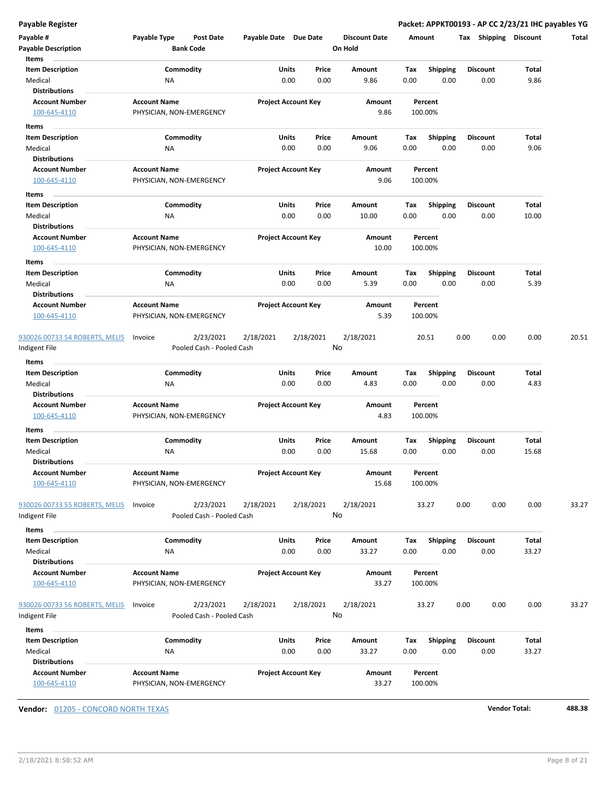| Payable #<br><b>Payable Description</b>                       | Payable Type                                    | <b>Post Date</b><br><b>Bank Code</b>   | Payable Date Due Date |                            | <b>Discount Date</b><br>On Hold | Amount      |                         | Tax Shipping Discount   |               | Total |
|---------------------------------------------------------------|-------------------------------------------------|----------------------------------------|-----------------------|----------------------------|---------------------------------|-------------|-------------------------|-------------------------|---------------|-------|
| Items<br><b>Item Description</b><br>Medical                   | Commodity<br>ΝA                                 |                                        | Units<br>0.00         | Price<br>0.00              | Amount<br>9.86                  | Tax<br>0.00 | <b>Shipping</b><br>0.00 | <b>Discount</b><br>0.00 | Total<br>9.86 |       |
| <b>Distributions</b><br><b>Account Number</b><br>100-645-4110 | <b>Account Name</b><br>PHYSICIAN, NON-EMERGENCY |                                        |                       | <b>Project Account Key</b> | Amount<br>9.86                  |             | Percent<br>100.00%      |                         |               |       |
| Items                                                         |                                                 |                                        |                       |                            |                                 |             |                         |                         |               |       |
| Item Description                                              | Commodity                                       |                                        | Units                 | Price                      | Amount                          | Tax         | <b>Shipping</b>         | <b>Discount</b>         | Total         |       |
| Medical                                                       | <b>NA</b>                                       |                                        | 0.00                  | 0.00                       | 9.06                            | 0.00        | 0.00                    | 0.00                    | 9.06          |       |
| <b>Distributions</b><br><b>Account Number</b>                 | <b>Account Name</b>                             |                                        |                       | <b>Project Account Key</b> | Amount                          |             | Percent                 |                         |               |       |
| 100-645-4110                                                  | PHYSICIAN, NON-EMERGENCY                        |                                        |                       |                            | 9.06                            |             | 100.00%                 |                         |               |       |
| Items                                                         |                                                 |                                        |                       |                            |                                 |             |                         |                         |               |       |
| <b>Item Description</b>                                       | Commodity                                       |                                        | Units                 | Price                      | Amount                          | Тах         | <b>Shipping</b>         | <b>Discount</b>         | Total         |       |
| Medical                                                       | ΝA                                              |                                        | 0.00                  | 0.00                       | 10.00                           | 0.00        | 0.00                    | 0.00                    | 10.00         |       |
| Distributions<br><b>Account Number</b><br>100-645-4110        | <b>Account Name</b><br>PHYSICIAN, NON-EMERGENCY |                                        |                       | <b>Project Account Key</b> | Amount<br>10.00                 |             | Percent<br>100.00%      |                         |               |       |
|                                                               |                                                 |                                        |                       |                            |                                 |             |                         |                         |               |       |
| Items<br><b>Item Description</b>                              | Commodity                                       |                                        | Units                 | Price                      | Amount                          | Tax         | <b>Shipping</b>         | <b>Discount</b>         | Total         |       |
| Medical                                                       | ΝA                                              |                                        |                       | 0.00<br>0.00               | 5.39                            | 0.00        | 0.00                    | 0.00                    | 5.39          |       |
| <b>Distributions</b>                                          |                                                 |                                        |                       |                            |                                 |             |                         |                         |               |       |
| <b>Account Number</b>                                         | <b>Account Name</b>                             |                                        |                       | <b>Project Account Key</b> | Amount                          |             | Percent                 |                         |               |       |
| 100-645-4110                                                  | PHYSICIAN, NON-EMERGENCY                        |                                        |                       |                            | 5.39                            |             | 100.00%                 |                         |               |       |
|                                                               |                                                 |                                        |                       |                            |                                 |             |                         |                         |               |       |
| 930026 00733 54 ROBERTS, MELIS<br>Indigent File               | Invoice                                         | 2/23/2021<br>Pooled Cash - Pooled Cash | 2/18/2021             | 2/18/2021                  | 2/18/2021<br>No                 |             | 20.51                   | 0.00<br>0.00            | 0.00          | 20.51 |
| Items                                                         |                                                 |                                        |                       |                            |                                 |             |                         |                         |               |       |
| <b>Item Description</b>                                       | Commodity                                       |                                        | Units                 | Price                      | Amount                          | Tax         | <b>Shipping</b>         | <b>Discount</b>         | Total         |       |
| Medical                                                       | ΝA                                              |                                        | 0.00                  | 0.00                       | 4.83                            | 0.00        | 0.00                    | 0.00                    | 4.83          |       |
| <b>Distributions</b>                                          |                                                 |                                        |                       |                            |                                 |             |                         |                         |               |       |
| <b>Account Number</b><br>100-645-4110                         | <b>Account Name</b><br>PHYSICIAN, NON-EMERGENCY |                                        |                       | <b>Project Account Key</b> | Amount<br>4.83                  |             | Percent<br>100.00%      |                         |               |       |
| Items                                                         |                                                 |                                        |                       |                            |                                 |             |                         |                         |               |       |
| Item Description                                              | Commodity                                       |                                        | Units                 | Price                      | Amount                          | Tax         | <b>Shipping</b>         | <b>Discount</b>         | Total         |       |
| Medical                                                       | <b>NA</b>                                       |                                        | 0.00                  | 0.00                       | 15.68                           | 0.00        | 0.00                    | 0.00                    | 15.68         |       |
| <b>Distributions</b><br>Account Number<br>100-645-4110        | <b>Account Name</b><br>PHYSICIAN, NON-EMERGENCY |                                        |                       | <b>Project Account Key</b> | Amount<br>15.68                 |             | Percent<br>100.00%      |                         |               |       |
| 930026 00733 55 ROBERTS, MELIS<br>Indigent File               | Invoice                                         | 2/23/2021<br>Pooled Cash - Pooled Cash | 2/18/2021             | 2/18/2021                  | 2/18/2021<br>No                 |             | 33.27                   | 0.00<br>0.00            | 0.00          | 33.27 |
| Items                                                         |                                                 |                                        |                       |                            |                                 |             |                         |                         |               |       |
| <b>Item Description</b>                                       | Commodity                                       |                                        | Units                 | Price                      | Amount                          | Tax         | <b>Shipping</b>         | <b>Discount</b>         | Total         |       |
| Medical                                                       | <b>NA</b>                                       |                                        |                       | 0.00<br>0.00               | 33.27                           | 0.00        | 0.00                    | 0.00                    | 33.27         |       |
| <b>Distributions</b>                                          |                                                 |                                        |                       |                            |                                 |             |                         |                         |               |       |
| <b>Account Number</b>                                         | <b>Account Name</b>                             |                                        |                       | <b>Project Account Key</b> | Amount                          |             | Percent                 |                         |               |       |
| 100-645-4110                                                  | PHYSICIAN, NON-EMERGENCY                        |                                        |                       |                            | 33.27                           |             | 100.00%                 |                         |               |       |
| 930026 00733 56 ROBERTS, MELIS                                | Invoice                                         | 2/23/2021                              | 2/18/2021             | 2/18/2021                  | 2/18/2021                       |             | 33.27                   | 0.00<br>0.00            | 0.00          | 33.27 |
| ndigent File                                                  |                                                 | Pooled Cash - Pooled Cash              |                       |                            | No                              |             |                         |                         |               |       |
| Items                                                         |                                                 |                                        |                       |                            |                                 |             |                         |                         |               |       |
| <b>Item Description</b>                                       | Commodity                                       |                                        | Units                 | Price                      | Amount                          | Тах         | <b>Shipping</b>         | <b>Discount</b>         | Total         |       |
|                                                               |                                                 |                                        |                       |                            |                                 |             |                         |                         |               |       |
|                                                               |                                                 |                                        |                       |                            |                                 |             |                         |                         |               |       |
| Medical<br><b>Distributions</b>                               | ΝA                                              |                                        |                       | 0.00<br>0.00               | 33.27                           | 0.00        | 0.00                    | 0.00                    | 33.27         |       |

**Vendor:** 01205 - CONCORD NORTH TEXAS **Vendor Total: 488.38**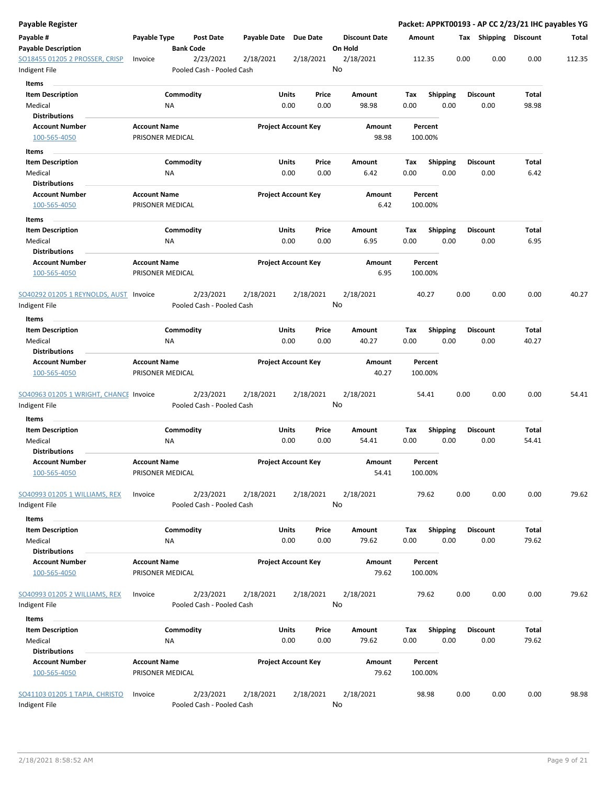| Payable Register                                              |                                         |                                        |              |                                |                                 |                    |                         |      |                         |                | Packet: APPKT00193 - AP CC 2/23/21 IHC payables YG |
|---------------------------------------------------------------|-----------------------------------------|----------------------------------------|--------------|--------------------------------|---------------------------------|--------------------|-------------------------|------|-------------------------|----------------|----------------------------------------------------|
| Payable #<br><b>Payable Description</b>                       | Payable Type                            | <b>Post Date</b><br><b>Bank Code</b>   | Payable Date | <b>Due Date</b>                | <b>Discount Date</b><br>On Hold | Amount             |                         |      | Tax Shipping Discount   |                | Total                                              |
| SO18455 01205 2 PROSSER, CRISP<br>Indigent File               | Invoice                                 | 2/23/2021<br>Pooled Cash - Pooled Cash | 2/18/2021    | 2/18/2021                      | 2/18/2021<br>No                 | 112.35             |                         | 0.00 | 0.00                    | 0.00           | 112.35                                             |
| Items<br><b>Item Description</b><br>Medical                   |                                         | Commodity<br>ΝA                        |              | Units<br>Price<br>0.00<br>0.00 | Amount<br>98.98                 | Tax<br>0.00        | <b>Shipping</b><br>0.00 |      | <b>Discount</b><br>0.00 | Total<br>98.98 |                                                    |
| <b>Distributions</b>                                          |                                         |                                        |              |                                |                                 |                    |                         |      |                         |                |                                                    |
| <b>Account Number</b><br>100-565-4050                         | <b>Account Name</b><br>PRISONER MEDICAL |                                        |              | <b>Project Account Key</b>     | Amount<br>98.98                 | Percent<br>100.00% |                         |      |                         |                |                                                    |
| Items                                                         |                                         |                                        |              |                                |                                 |                    |                         |      |                         |                |                                                    |
| <b>Item Description</b><br>Medical                            |                                         | Commodity<br>ΝA                        |              | Units<br>Price<br>0.00<br>0.00 | Amount<br>6.42                  | Tax<br>0.00        | <b>Shipping</b><br>0.00 |      | <b>Discount</b><br>0.00 | Total<br>6.42  |                                                    |
| <b>Distributions</b><br><b>Account Number</b><br>100-565-4050 | <b>Account Name</b><br>PRISONER MEDICAL |                                        |              | <b>Project Account Key</b>     | Amount<br>6.42                  | Percent<br>100.00% |                         |      |                         |                |                                                    |
| Items                                                         |                                         |                                        |              |                                |                                 |                    |                         |      |                         |                |                                                    |
| <b>Item Description</b><br>Medical<br>Distributions           |                                         | Commodity<br>ΝA                        |              | Units<br>Price<br>0.00<br>0.00 | Amount<br>6.95                  | Tax<br>0.00        | Shipping<br>0.00        |      | <b>Discount</b><br>0.00 | Total<br>6.95  |                                                    |
| <b>Account Number</b><br>100-565-4050                         | <b>Account Name</b><br>PRISONER MEDICAL |                                        |              | <b>Project Account Key</b>     | Amount<br>6.95                  | Percent<br>100.00% |                         |      |                         |                |                                                    |
| SO40292 01205 1 REYNOLDS, AUST Invoice<br>Indigent File       |                                         | 2/23/2021<br>Pooled Cash - Pooled Cash | 2/18/2021    | 2/18/2021                      | 2/18/2021<br>No                 | 40.27              |                         | 0.00 | 0.00                    | 0.00           | 40.27                                              |
| Items                                                         |                                         |                                        |              |                                |                                 |                    |                         |      |                         |                |                                                    |
| <b>Item Description</b><br>Medical                            |                                         | Commodity<br>ΝA                        |              | Units<br>Price<br>0.00<br>0.00 | Amount<br>40.27                 | Tax<br>0.00        | <b>Shipping</b><br>0.00 |      | <b>Discount</b><br>0.00 | Total<br>40.27 |                                                    |
| <b>Distributions</b><br><b>Account Number</b><br>100-565-4050 | <b>Account Name</b><br>PRISONER MEDICAL |                                        |              | <b>Project Account Key</b>     | Amount<br>40.27                 | Percent<br>100.00% |                         |      |                         |                |                                                    |
| SO40963 01205 1 WRIGHT, CHANCE Invoice<br>Indigent File       |                                         | 2/23/2021<br>Pooled Cash - Pooled Cash | 2/18/2021    | 2/18/2021                      | 2/18/2021<br>No                 | 54.41              |                         | 0.00 | 0.00                    | 0.00           | 54.41                                              |
| Items                                                         |                                         |                                        |              |                                |                                 |                    |                         |      |                         |                |                                                    |
| <b>Item Description</b><br>Medical<br><b>Distributions</b>    |                                         | Commodity<br>ΝA                        |              | Units<br>Price<br>0.00<br>0.00 | Amount<br>54.41                 | Tax<br>0.00        | <b>Shipping</b><br>0.00 |      | <b>Discount</b><br>0.00 | Total<br>54.41 |                                                    |
| <b>Account Number</b><br>100-565-4050                         | <b>Account Name</b><br>PRISONER MEDICAL |                                        |              | <b>Project Account Key</b>     | Amount<br>54.41                 | Percent<br>100.00% |                         |      |                         |                |                                                    |
| SO40993 01205 1 WILLIAMS, REX<br>Indigent File                | Invoice                                 | 2/23/2021<br>Pooled Cash - Pooled Cash | 2/18/2021    | 2/18/2021                      | 2/18/2021<br>No                 | 79.62              |                         | 0.00 | 0.00                    | 0.00           | 79.62                                              |
| Items<br><b>Item Description</b><br>Medical                   |                                         | Commodity<br>NA                        |              | Units<br>Price<br>0.00<br>0.00 | Amount<br>79.62                 | Tax<br>0.00        | <b>Shipping</b><br>0.00 |      | <b>Discount</b><br>0.00 | Total<br>79.62 |                                                    |
| <b>Distributions</b><br><b>Account Number</b><br>100-565-4050 | <b>Account Name</b><br>PRISONER MEDICAL |                                        |              | <b>Project Account Key</b>     | Amount<br>79.62                 | Percent<br>100.00% |                         |      |                         |                |                                                    |
| <u>SO40993 01205 2 WILLIAMS, REX</u><br>Indigent File         | Invoice                                 | 2/23/2021<br>Pooled Cash - Pooled Cash | 2/18/2021    | 2/18/2021                      | 2/18/2021<br>No                 | 79.62              |                         | 0.00 | 0.00                    | 0.00           | 79.62                                              |
| Items<br><b>Item Description</b><br>Medical                   |                                         | Commodity<br>ΝA                        |              | Units<br>Price<br>0.00<br>0.00 | Amount<br>79.62                 | Tax<br>0.00        | <b>Shipping</b><br>0.00 |      | <b>Discount</b><br>0.00 | Total<br>79.62 |                                                    |
| <b>Distributions</b>                                          |                                         |                                        |              |                                |                                 |                    |                         |      |                         |                |                                                    |
| <b>Account Number</b><br>100-565-4050                         | <b>Account Name</b><br>PRISONER MEDICAL |                                        |              | <b>Project Account Key</b>     | Amount<br>79.62                 | Percent<br>100.00% |                         |      |                         |                |                                                    |
| SO41103 01205 1 TAPIA, CHRISTO<br>Indigent File               | Invoice                                 | 2/23/2021<br>Pooled Cash - Pooled Cash | 2/18/2021    | 2/18/2021                      | 2/18/2021<br>No                 | 98.98              |                         | 0.00 | 0.00                    | 0.00           | 98.98                                              |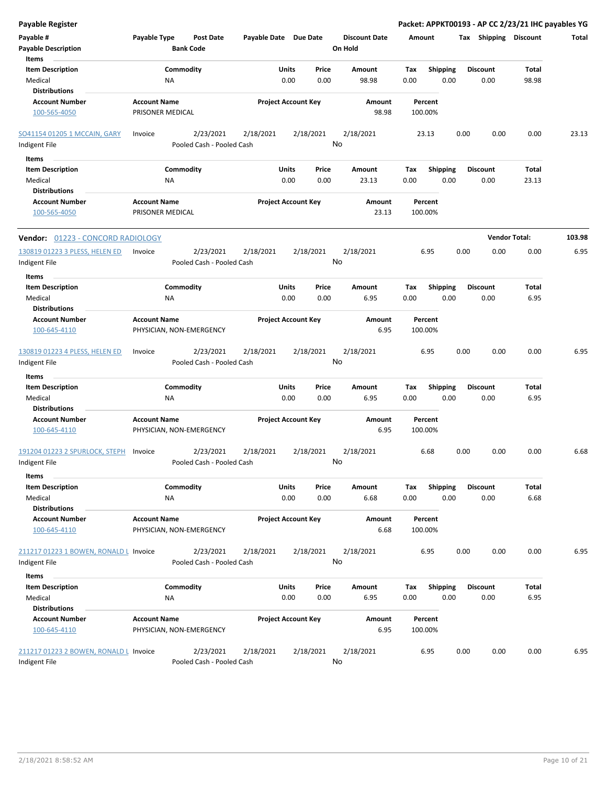| Payable Register                                              |                                         |                                        |                       |                                |                                 | Packet: APPKT00193 - AP CC 2/23/21 IHC payables YG |      |                         |                       |        |
|---------------------------------------------------------------|-----------------------------------------|----------------------------------------|-----------------------|--------------------------------|---------------------------------|----------------------------------------------------|------|-------------------------|-----------------------|--------|
| Payable #<br><b>Payable Description</b>                       | Payable Type                            | Post Date<br><b>Bank Code</b>          | Payable Date Due Date |                                | <b>Discount Date</b><br>On Hold | Amount                                             |      | Tax Shipping Discount   |                       | Total  |
| Items<br><b>Item Description</b><br>Medical                   | ΝA                                      | Commodity                              |                       | Price<br>Units<br>0.00<br>0.00 | Amount<br>98.98                 | Shipping<br>Tax<br>0.00<br>0.00                    |      | <b>Discount</b><br>0.00 | <b>Total</b><br>98.98 |        |
| <b>Distributions</b><br><b>Account Number</b>                 | <b>Account Name</b>                     |                                        |                       | <b>Project Account Key</b>     | Amount                          | Percent                                            |      |                         |                       |        |
| 100-565-4050                                                  | PRISONER MEDICAL                        |                                        |                       |                                | 98.98                           | 100.00%                                            |      |                         |                       |        |
| SO41154 01205 1 MCCAIN, GARY<br>Indigent File                 | Invoice                                 | 2/23/2021<br>Pooled Cash - Pooled Cash | 2/18/2021             | 2/18/2021                      | 2/18/2021<br>No                 | 23.13                                              | 0.00 | 0.00                    | 0.00                  | 23.13  |
| Items                                                         |                                         |                                        |                       |                                |                                 |                                                    |      |                         |                       |        |
| <b>Item Description</b><br>Medical<br>Distributions           | NA                                      | Commodity                              |                       | Units<br>Price<br>0.00<br>0.00 | Amount<br>23.13                 | Tax<br><b>Shipping</b><br>0.00<br>0.00             |      | <b>Discount</b><br>0.00 | Total<br>23.13        |        |
| <b>Account Number</b><br>100-565-4050                         | <b>Account Name</b><br>PRISONER MEDICAL |                                        |                       | <b>Project Account Key</b>     | Amount<br>23.13                 | Percent<br>100.00%                                 |      |                         |                       |        |
| Vendor: 01223 - CONCORD RADIOLOGY                             |                                         |                                        |                       |                                |                                 |                                                    |      |                         | <b>Vendor Total:</b>  | 103.98 |
| 130819 01223 3 PLESS, HELEN ED<br>Indigent File               | Invoice                                 | 2/23/2021<br>Pooled Cash - Pooled Cash | 2/18/2021             | 2/18/2021                      | 2/18/2021<br>No                 | 6.95                                               | 0.00 | 0.00                    | 0.00                  | 6.95   |
| Items                                                         |                                         |                                        |                       |                                |                                 |                                                    |      |                         |                       |        |
| <b>Item Description</b><br>Medical                            | ΝA                                      | Commodity                              |                       | Units<br>Price<br>0.00<br>0.00 | Amount<br>6.95                  | Tax<br><b>Shipping</b><br>0.00<br>0.00             |      | <b>Discount</b><br>0.00 | Total<br>6.95         |        |
| <b>Distributions</b><br><b>Account Number</b>                 | <b>Account Name</b>                     |                                        |                       | <b>Project Account Key</b>     | Amount                          | Percent                                            |      |                         |                       |        |
| 100-645-4110                                                  |                                         | PHYSICIAN, NON-EMERGENCY               |                       |                                | 6.95                            | 100.00%                                            |      |                         |                       |        |
| 130819 01223 4 PLESS, HELEN ED<br>Indigent File               | Invoice                                 | 2/23/2021<br>Pooled Cash - Pooled Cash | 2/18/2021             | 2/18/2021                      | 2/18/2021<br>No                 | 6.95                                               | 0.00 | 0.00                    | 0.00                  | 6.95   |
| Items                                                         |                                         |                                        |                       |                                |                                 |                                                    |      |                         |                       |        |
| <b>Item Description</b><br>Medical                            | ΝA                                      | Commodity                              |                       | Units<br>Price<br>0.00<br>0.00 | Amount<br>6.95                  | Tax<br><b>Shipping</b><br>0.00<br>0.00             |      | <b>Discount</b><br>0.00 | Total<br>6.95         |        |
| Distributions<br><b>Account Number</b><br>100-645-4110        | <b>Account Name</b>                     | PHYSICIAN, NON-EMERGENCY               |                       | <b>Project Account Key</b>     | Amount<br>6.95                  | Percent<br>100.00%                                 |      |                         |                       |        |
| 191204 01223 2 SPURLOCK, STEPH<br>Indigent File               | Invoice                                 | 2/23/2021<br>Pooled Cash - Pooled Cash | 2/18/2021             | 2/18/2021                      | 2/18/2021<br>No                 | 6.68                                               | 0.00 | 0.00                    | 0.00                  | 6.68   |
| Items                                                         |                                         |                                        |                       |                                |                                 |                                                    |      |                         |                       |        |
| <b>Item Description</b><br>Medical                            | ΝA                                      | Commodity                              |                       | Units<br>Price<br>0.00<br>0.00 | Amount<br>6.68                  | Shipping<br>Tax<br>0.00<br>0.00                    |      | <b>Discount</b><br>0.00 | Total<br>6.68         |        |
| <b>Distributions</b><br><b>Account Number</b>                 | <b>Account Name</b>                     |                                        |                       | <b>Project Account Key</b>     | Amount                          | Percent                                            |      |                         |                       |        |
| 100-645-4110                                                  |                                         | PHYSICIAN, NON-EMERGENCY               |                       |                                | 6.68                            | 100.00%                                            |      |                         |                       |        |
| 211217 01223 1 BOWEN, RONALD L Invoice<br>Indigent File       |                                         | 2/23/2021<br>Pooled Cash - Pooled Cash | 2/18/2021             | 2/18/2021                      | 2/18/2021<br>No                 | 6.95                                               | 0.00 | 0.00                    | 0.00                  | 6.95   |
| Items                                                         |                                         |                                        |                       |                                |                                 |                                                    |      |                         |                       |        |
| <b>Item Description</b><br>Medical                            | ΝA                                      | Commodity                              |                       | Units<br>Price<br>0.00<br>0.00 | Amount<br>6.95                  | Shipping<br>Tax<br>0.00<br>0.00                    |      | <b>Discount</b><br>0.00 | Total<br>6.95         |        |
| <b>Distributions</b><br><b>Account Number</b><br>100-645-4110 | <b>Account Name</b>                     | PHYSICIAN, NON-EMERGENCY               |                       | <b>Project Account Key</b>     | Amount<br>6.95                  | Percent<br>100.00%                                 |      |                         |                       |        |
| 211217 01223 2 BOWEN, RONALD L Invoice<br>Indigent File       |                                         | 2/23/2021<br>Pooled Cash - Pooled Cash | 2/18/2021             | 2/18/2021                      | 2/18/2021<br>No                 | 6.95                                               | 0.00 | 0.00                    | 0.00                  | 6.95   |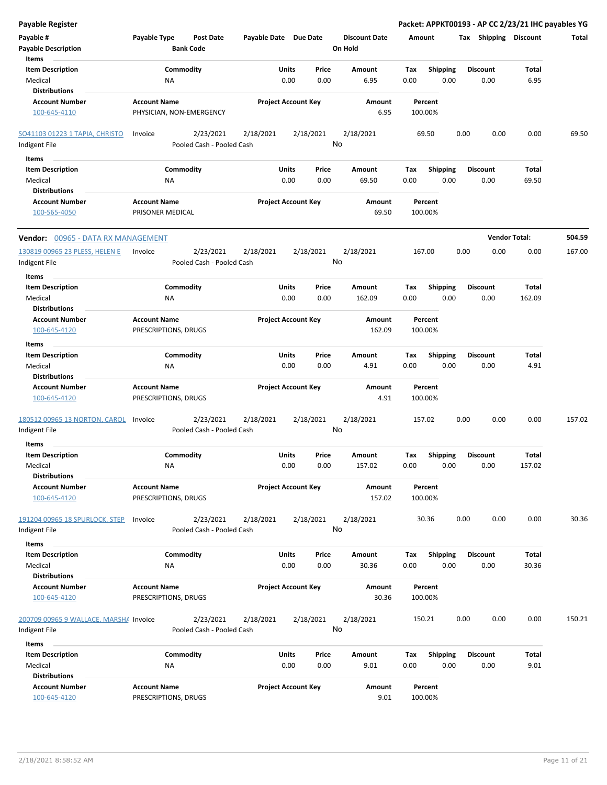| <b>Payable Register</b>                                 |                                                   |                       |                            |                      |         |                 | Packet: APPKT00193 - AP CC 2/23/21 IHC payables YG |                      |        |
|---------------------------------------------------------|---------------------------------------------------|-----------------------|----------------------------|----------------------|---------|-----------------|----------------------------------------------------|----------------------|--------|
| Payable #                                               | Payable Type<br><b>Post Date</b>                  | Payable Date Due Date |                            | <b>Discount Date</b> | Amount  |                 | Tax Shipping Discount                              |                      | Total  |
| <b>Payable Description</b>                              | <b>Bank Code</b>                                  |                       |                            | On Hold              |         |                 |                                                    |                      |        |
| Items                                                   |                                                   |                       |                            |                      |         |                 |                                                    |                      |        |
| <b>Item Description</b>                                 | Commodity                                         |                       | Units<br>Price             | Amount               | Tax     | <b>Shipping</b> | <b>Discount</b>                                    | Total                |        |
| Medical                                                 | <b>NA</b>                                         |                       | 0.00<br>0.00               | 6.95                 | 0.00    | 0.00            | 0.00                                               | 6.95                 |        |
| <b>Distributions</b>                                    |                                                   |                       |                            |                      |         |                 |                                                    |                      |        |
| <b>Account Number</b>                                   | <b>Account Name</b>                               |                       | <b>Project Account Key</b> | Amount               | Percent |                 |                                                    |                      |        |
| 100-645-4110                                            | PHYSICIAN, NON-EMERGENCY                          |                       |                            | 6.95                 | 100.00% |                 |                                                    |                      |        |
| <b>SO41103 01223 1 TAPIA, CHRISTO</b>                   | 2/23/2021<br>Invoice                              | 2/18/2021             | 2/18/2021                  | 2/18/2021<br>No      | 69.50   |                 | 0.00<br>0.00                                       | 0.00                 | 69.50  |
| Indigent File                                           | Pooled Cash - Pooled Cash                         |                       |                            |                      |         |                 |                                                    |                      |        |
| Items                                                   |                                                   |                       |                            |                      |         |                 |                                                    |                      |        |
| <b>Item Description</b>                                 | Commodity                                         |                       | Units<br>Price             | Amount               | Tax     | <b>Shipping</b> | <b>Discount</b>                                    | Total                |        |
| Medical                                                 | <b>NA</b>                                         |                       | 0.00<br>0.00               | 69.50                | 0.00    | 0.00            | 0.00                                               | 69.50                |        |
| <b>Distributions</b>                                    |                                                   |                       |                            |                      |         |                 |                                                    |                      |        |
| <b>Account Number</b>                                   | <b>Account Name</b>                               |                       | <b>Project Account Key</b> | Amount               | Percent |                 |                                                    |                      |        |
| 100-565-4050                                            | PRISONER MEDICAL                                  |                       |                            | 69.50                | 100.00% |                 |                                                    |                      |        |
| Vendor: 00965 - DATA RX MANAGEMENT                      |                                                   |                       |                            |                      |         |                 |                                                    | <b>Vendor Total:</b> | 504.59 |
| 130819 00965 23 PLESS, HELEN E                          | 2/23/2021<br>Invoice                              | 2/18/2021             | 2/18/2021                  | 2/18/2021            | 167.00  |                 | 0.00<br>0.00                                       | 0.00                 | 167.00 |
| Indigent File                                           | Pooled Cash - Pooled Cash                         |                       |                            | No                   |         |                 |                                                    |                      |        |
| Items                                                   |                                                   |                       |                            |                      |         |                 |                                                    |                      |        |
| <b>Item Description</b>                                 | Commodity                                         |                       | Units<br>Price             | Amount               | Tax     | <b>Shipping</b> | <b>Discount</b>                                    | <b>Total</b>         |        |
| Medical                                                 | ΝA                                                |                       | 0.00<br>0.00               | 162.09               | 0.00    | 0.00            | 0.00                                               | 162.09               |        |
| <b>Distributions</b>                                    |                                                   |                       |                            |                      |         |                 |                                                    |                      |        |
| <b>Account Number</b>                                   | <b>Account Name</b>                               |                       | <b>Project Account Key</b> | Amount               | Percent |                 |                                                    |                      |        |
| 100-645-4120                                            | PRESCRIPTIONS, DRUGS                              |                       |                            | 162.09               | 100.00% |                 |                                                    |                      |        |
| Items                                                   |                                                   |                       |                            |                      |         |                 |                                                    |                      |        |
| <b>Item Description</b>                                 | Commodity                                         |                       | Units<br>Price             | Amount               | Tax     | <b>Shipping</b> | <b>Discount</b>                                    | Total                |        |
| Medical                                                 | <b>NA</b>                                         |                       | 0.00<br>0.00               | 4.91                 | 0.00    | 0.00            | 0.00                                               | 4.91                 |        |
| <b>Distributions</b>                                    |                                                   |                       |                            |                      |         |                 |                                                    |                      |        |
| <b>Account Number</b>                                   | <b>Account Name</b>                               |                       | <b>Project Account Key</b> | Amount               | Percent |                 |                                                    |                      |        |
| 100-645-4120                                            | PRESCRIPTIONS, DRUGS                              |                       |                            | 4.91                 | 100.00% |                 |                                                    |                      |        |
| 180512 00965 13 NORTON, CAROL<br>Indigent File          | 2/23/2021<br>Invoice<br>Pooled Cash - Pooled Cash | 2/18/2021             | 2/18/2021                  | 2/18/2021<br>No      | 157.02  |                 | 0.00<br>0.00                                       | 0.00                 | 157.02 |
|                                                         |                                                   |                       |                            |                      |         |                 |                                                    |                      |        |
| <b>Items</b>                                            |                                                   |                       |                            |                      |         |                 |                                                    |                      |        |
| <b>Item Description</b>                                 | Commodity                                         |                       | Units<br>Price             | Amount               | Тах     | <b>Shipping</b> | <b>Discount</b>                                    | <b>Total</b>         |        |
| Medical<br><b>Distributions</b>                         | <b>NA</b>                                         |                       | 0.00<br>0.00               | 157.02               | 0.00    | 0.00            | 0.00                                               | 157.02               |        |
| <b>Account Number</b>                                   | <b>Account Name</b>                               |                       | <b>Project Account Key</b> | Amount               | Percent |                 |                                                    |                      |        |
| 100-645-4120                                            | PRESCRIPTIONS, DRUGS                              |                       |                            | 157.02               | 100.00% |                 |                                                    |                      |        |
| 191204 00965 18 SPURLOCK, STEP                          | 2/23/2021<br>Invoice                              | 2/18/2021             | 2/18/2021                  | 2/18/2021            | 30.36   |                 | 0.00<br>0.00                                       | 0.00                 | 30.36  |
| Indigent File                                           | Pooled Cash - Pooled Cash                         |                       |                            | No                   |         |                 |                                                    |                      |        |
| Items                                                   |                                                   |                       |                            |                      |         |                 |                                                    |                      |        |
| <b>Item Description</b>                                 | Commodity                                         |                       | Units<br>Price             | Amount               | Tax     | <b>Shipping</b> | <b>Discount</b>                                    | Total                |        |
| Medical                                                 | NA                                                |                       | 0.00<br>0.00               | 30.36                | 0.00    | 0.00            | 0.00                                               | 30.36                |        |
| <b>Distributions</b>                                    |                                                   |                       |                            |                      |         |                 |                                                    |                      |        |
| <b>Account Number</b>                                   | <b>Account Name</b>                               |                       | <b>Project Account Key</b> | Amount               | Percent |                 |                                                    |                      |        |
| 100-645-4120                                            | PRESCRIPTIONS, DRUGS                              |                       |                            | 30.36                | 100.00% |                 |                                                    |                      |        |
| 200709 00965 9 WALLACE, MARSHA Invoice<br>Indigent File | 2/23/2021<br>Pooled Cash - Pooled Cash            | 2/18/2021             | 2/18/2021                  | 2/18/2021<br>No      | 150.21  |                 | 0.00<br>0.00                                       | 0.00                 | 150.21 |
| Items                                                   |                                                   |                       |                            |                      |         |                 |                                                    |                      |        |
| <b>Item Description</b>                                 | Commodity                                         |                       | Units<br>Price             | Amount               | Tax     | <b>Shipping</b> | <b>Discount</b>                                    | Total                |        |
| Medical                                                 | NA                                                |                       | 0.00<br>0.00               | 9.01                 | 0.00    | 0.00            | 0.00                                               | 9.01                 |        |
| <b>Distributions</b>                                    |                                                   |                       |                            |                      |         |                 |                                                    |                      |        |
| <b>Account Number</b>                                   | <b>Account Name</b>                               |                       | <b>Project Account Key</b> | Amount               | Percent |                 |                                                    |                      |        |
| 100-645-4120                                            | PRESCRIPTIONS, DRUGS                              |                       |                            | 9.01                 | 100.00% |                 |                                                    |                      |        |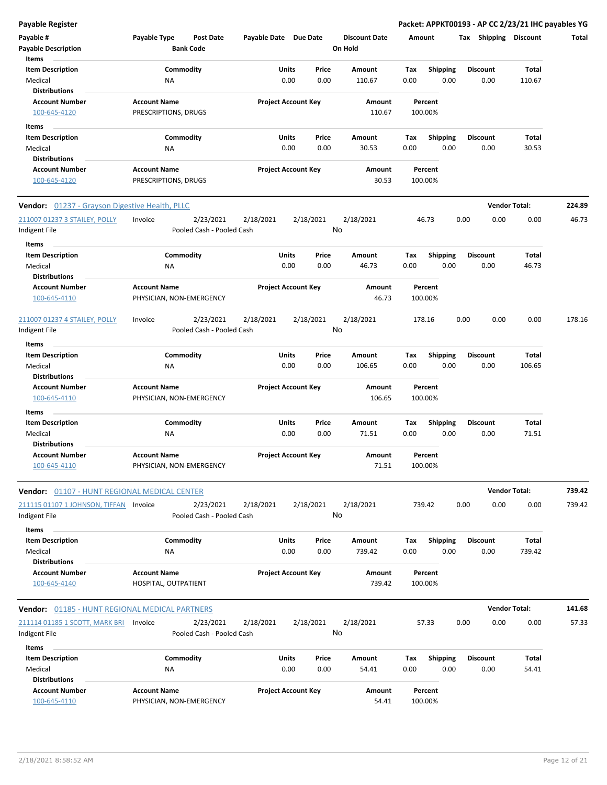| Payable #                                             | Payable Type             | <b>Post Date</b>                       | Payable Date Due Date |                            |       | <b>Discount Date</b> | Amount |                 | Tax  | <b>Shipping</b>      | <b>Discount</b> | Total  |
|-------------------------------------------------------|--------------------------|----------------------------------------|-----------------------|----------------------------|-------|----------------------|--------|-----------------|------|----------------------|-----------------|--------|
| <b>Payable Description</b>                            |                          | <b>Bank Code</b>                       |                       |                            |       | On Hold              |        |                 |      |                      |                 |        |
| Items<br><b>Item Description</b>                      |                          | Commodity                              |                       | Units                      | Price | Amount               | Tax    | <b>Shipping</b> |      | <b>Discount</b>      | Total           |        |
| Medical                                               | ΝA                       |                                        |                       | 0.00                       | 0.00  | 110.67               | 0.00   | 0.00            |      | 0.00                 | 110.67          |        |
| <b>Distributions</b>                                  |                          |                                        |                       |                            |       |                      |        |                 |      |                      |                 |        |
| <b>Account Number</b>                                 | <b>Account Name</b>      |                                        |                       | <b>Project Account Key</b> |       | Amount               |        | Percent         |      |                      |                 |        |
| 100-645-4120                                          | PRESCRIPTIONS, DRUGS     |                                        |                       |                            |       | 110.67               |        | 100.00%         |      |                      |                 |        |
| Items                                                 |                          |                                        |                       |                            |       |                      |        |                 |      |                      |                 |        |
| <b>Item Description</b>                               |                          | Commodity                              |                       | Units                      | Price | Amount               | Тах    | <b>Shipping</b> |      | <b>Discount</b>      | Total           |        |
| Medical                                               | ΝA                       |                                        |                       | 0.00                       | 0.00  | 30.53                | 0.00   | 0.00            |      | 0.00                 | 30.53           |        |
| <b>Distributions</b>                                  |                          |                                        |                       |                            |       |                      |        |                 |      |                      |                 |        |
| <b>Account Number</b>                                 | <b>Account Name</b>      |                                        |                       | <b>Project Account Key</b> |       | Amount               |        | Percent         |      |                      |                 |        |
| 100-645-4120                                          | PRESCRIPTIONS, DRUGS     |                                        |                       |                            |       | 30.53                |        | 100.00%         |      |                      |                 |        |
|                                                       |                          |                                        |                       |                            |       |                      |        |                 |      |                      |                 |        |
| <b>Vendor:</b> 01237 - Grayson Digestive Health, PLLC |                          |                                        |                       |                            |       |                      |        |                 |      | <b>Vendor Total:</b> |                 | 224.89 |
| 211007 01237 3 STAILEY, POLLY                         | Invoice                  | 2/23/2021                              | 2/18/2021             | 2/18/2021                  |       | 2/18/2021            |        | 46.73           | 0.00 | 0.00                 | 0.00            | 46.73  |
| Indigent File                                         |                          | Pooled Cash - Pooled Cash              |                       |                            |       | No                   |        |                 |      |                      |                 |        |
| Items                                                 |                          |                                        |                       |                            |       |                      |        |                 |      |                      |                 |        |
| <b>Item Description</b>                               |                          | Commodity                              |                       | Units                      | Price | <b>Amount</b>        | Tax    | <b>Shipping</b> |      | <b>Discount</b>      | Total           |        |
| Medical                                               | ΝA                       |                                        |                       | 0.00                       | 0.00  | 46.73                | 0.00   | 0.00            |      | 0.00                 | 46.73           |        |
| Distributions                                         |                          |                                        |                       |                            |       |                      |        |                 |      |                      |                 |        |
| <b>Account Number</b>                                 | <b>Account Name</b>      |                                        |                       | <b>Project Account Key</b> |       | Amount               |        | Percent         |      |                      |                 |        |
| 100-645-4110                                          | PHYSICIAN, NON-EMERGENCY |                                        |                       |                            |       | 46.73                |        | 100.00%         |      |                      |                 |        |
|                                                       |                          |                                        |                       |                            |       |                      |        |                 |      |                      |                 |        |
| 211007 01237 4 STAILEY, POLLY                         | Invoice                  | 2/23/2021                              | 2/18/2021             | 2/18/2021                  |       | 2/18/2021<br>No      | 178.16 |                 | 0.00 | 0.00                 | 0.00            | 178.16 |
| Indigent File                                         |                          | Pooled Cash - Pooled Cash              |                       |                            |       |                      |        |                 |      |                      |                 |        |
| Items                                                 |                          |                                        |                       |                            |       |                      |        |                 |      |                      |                 |        |
| <b>Item Description</b>                               |                          | Commodity                              |                       | <b>Units</b>               | Price | Amount               | Tax    | <b>Shipping</b> |      | <b>Discount</b>      | Total           |        |
| Medical                                               | ΝA                       |                                        |                       | 0.00                       | 0.00  | 106.65               | 0.00   | 0.00            |      | 0.00                 | 106.65          |        |
| <b>Distributions</b>                                  |                          |                                        |                       |                            |       |                      |        |                 |      |                      |                 |        |
| <b>Account Number</b>                                 | <b>Account Name</b>      |                                        |                       | <b>Project Account Key</b> |       | Amount               |        | Percent         |      |                      |                 |        |
| 100-645-4110                                          | PHYSICIAN, NON-EMERGENCY |                                        |                       |                            |       | 106.65               |        | 100.00%         |      |                      |                 |        |
| Items                                                 |                          |                                        |                       |                            |       |                      |        |                 |      |                      |                 |        |
| <b>Item Description</b>                               |                          | Commodity                              |                       | Units                      | Price | Amount               | Тах    | Shipping        |      | <b>Discount</b>      | Total           |        |
| Medical                                               | <b>NA</b>                |                                        |                       | 0.00                       | 0.00  | 71.51                | 0.00   | 0.00            |      | 0.00                 | 71.51           |        |
| Distributions                                         |                          |                                        |                       |                            |       |                      |        |                 |      |                      |                 |        |
| <b>Account Number</b>                                 | <b>Account Name</b>      |                                        |                       | <b>Project Account Key</b> |       | Amount               |        | Percent         |      |                      |                 |        |
| 100-645-4110                                          | PHYSICIAN, NON-EMERGENCY |                                        |                       |                            |       | 71.51                |        | 100.00%         |      |                      |                 |        |
| <b>Vendor:</b> 01107 - HUNT REGIONAL MEDICAL CENTER   |                          |                                        |                       |                            |       |                      |        |                 |      | <b>Vendor Total:</b> |                 | 739.42 |
|                                                       |                          |                                        |                       |                            |       |                      |        |                 |      |                      | 0.00            | 739.42 |
| 211115 01107 1 JOHNSON, TIFFAN Invoice                |                          | 2/23/2021<br>Pooled Cash - Pooled Cash | 2/18/2021             | 2/18/2021                  |       | 2/18/2021<br>No      | 739.42 |                 | 0.00 | 0.00                 |                 |        |
| Indigent File                                         |                          |                                        |                       |                            |       |                      |        |                 |      |                      |                 |        |
| Items                                                 |                          |                                        |                       |                            |       |                      |        |                 |      |                      |                 |        |
| <b>Item Description</b>                               |                          | Commodity                              |                       | <b>Units</b>               | Price | Amount               | Tax    | Shipping        |      | <b>Discount</b>      | Total           |        |
| Medical                                               | ΝA                       |                                        |                       | 0.00                       | 0.00  | 739.42               | 0.00   | 0.00            |      | 0.00                 | 739.42          |        |
| <b>Distributions</b>                                  |                          |                                        |                       |                            |       |                      |        |                 |      |                      |                 |        |
| <b>Account Number</b>                                 | <b>Account Name</b>      |                                        |                       | <b>Project Account Key</b> |       | Amount               |        | Percent         |      |                      |                 |        |
| 100-645-4140                                          | HOSPITAL, OUTPATIENT     |                                        |                       |                            |       | 739.42               |        | 100.00%         |      |                      |                 |        |
| <b>Vendor:</b> 01185 - HUNT REGIONAL MEDICAL PARTNERS |                          |                                        |                       |                            |       |                      |        |                 |      | <b>Vendor Total:</b> |                 | 141.68 |
| 211114 01185 1 SCOTT, MARK BRI                        | Invoice                  | 2/23/2021                              | 2/18/2021             | 2/18/2021                  |       | 2/18/2021            |        | 57.33           | 0.00 | 0.00                 | 0.00            | 57.33  |
| Indigent File                                         |                          | Pooled Cash - Pooled Cash              |                       |                            |       | No                   |        |                 |      |                      |                 |        |
|                                                       |                          |                                        |                       |                            |       |                      |        |                 |      |                      |                 |        |
| Items                                                 |                          |                                        |                       |                            |       |                      |        |                 |      |                      |                 |        |
| <b>Item Description</b>                               |                          | Commodity                              |                       | Units                      | Price | Amount               | Tax    | <b>Shipping</b> |      | <b>Discount</b>      | Total           |        |
| Medical                                               | ΝA                       |                                        |                       | 0.00                       | 0.00  | 54.41                | 0.00   | 0.00            |      | 0.00                 | 54.41           |        |
| <b>Distributions</b>                                  |                          |                                        |                       |                            |       |                      |        |                 |      |                      |                 |        |
| <b>Account Number</b>                                 | <b>Account Name</b>      |                                        |                       | <b>Project Account Key</b> |       | Amount               |        | Percent         |      |                      |                 |        |
| 100-645-4110                                          | PHYSICIAN, NON-EMERGENCY |                                        |                       |                            |       | 54.41                |        | 100.00%         |      |                      |                 |        |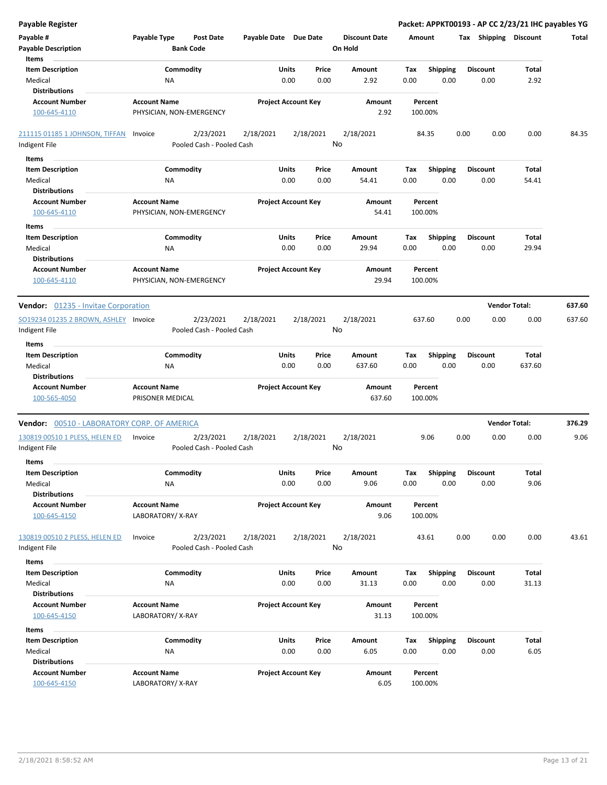| <b>Payable Register</b>                     |                                         |                                      |           |                       |                            |           |                                 |        |                    |      |                       | Packet: APPKT00193 - AP CC 2/23/21 IHC payables YG |        |
|---------------------------------------------|-----------------------------------------|--------------------------------------|-----------|-----------------------|----------------------------|-----------|---------------------------------|--------|--------------------|------|-----------------------|----------------------------------------------------|--------|
| Payable #<br><b>Payable Description</b>     | Payable Type                            | <b>Post Date</b><br><b>Bank Code</b> |           | Payable Date Due Date |                            |           | <b>Discount Date</b><br>On Hold | Amount |                    |      | Tax Shipping Discount |                                                    | Total  |
| Items                                       |                                         |                                      |           |                       |                            |           |                                 |        |                    |      |                       |                                                    |        |
| <b>Item Description</b>                     |                                         | Commodity                            |           |                       | Units                      | Price     | Amount                          | Tax    | <b>Shipping</b>    |      | <b>Discount</b>       | Total                                              |        |
| Medical                                     |                                         | NA                                   |           |                       | 0.00                       | 0.00      | 2.92                            | 0.00   | 0.00               |      | 0.00                  | 2.92                                               |        |
| <b>Distributions</b>                        |                                         |                                      |           |                       |                            |           |                                 |        |                    |      |                       |                                                    |        |
| <b>Account Number</b>                       | <b>Account Name</b>                     |                                      |           |                       | <b>Project Account Key</b> |           | Amount                          |        | Percent            |      |                       |                                                    |        |
| 100-645-4110                                |                                         | PHYSICIAN, NON-EMERGENCY             |           |                       |                            |           | 2.92                            |        | 100.00%            |      |                       |                                                    |        |
| 211115 01185 1 JOHNSON, TIFFAN              | Invoice                                 |                                      | 2/23/2021 | 2/18/2021             |                            | 2/18/2021 | 2/18/2021                       |        | 84.35              | 0.00 | 0.00                  | 0.00                                               | 84.35  |
| Indigent File                               |                                         | Pooled Cash - Pooled Cash            |           |                       |                            | No        |                                 |        |                    |      |                       |                                                    |        |
| Items                                       |                                         |                                      |           |                       |                            |           |                                 |        |                    |      |                       |                                                    |        |
| <b>Item Description</b>                     |                                         | Commodity                            |           |                       | Units                      | Price     | Amount                          | Tax    | <b>Shipping</b>    |      | <b>Discount</b>       | Total                                              |        |
| Medical                                     |                                         | ΝA                                   |           |                       | 0.00                       | 0.00      | 54.41                           | 0.00   | 0.00               |      | 0.00                  | 54.41                                              |        |
| <b>Distributions</b>                        |                                         |                                      |           |                       |                            |           |                                 |        |                    |      |                       |                                                    |        |
| <b>Account Number</b>                       | <b>Account Name</b>                     |                                      |           |                       | <b>Project Account Key</b> |           | Amount                          |        | Percent            |      |                       |                                                    |        |
| 100-645-4110                                |                                         | PHYSICIAN, NON-EMERGENCY             |           |                       |                            |           | 54.41                           |        | 100.00%            |      |                       |                                                    |        |
| Items                                       |                                         |                                      |           |                       |                            |           |                                 |        |                    |      |                       |                                                    |        |
| <b>Item Description</b>                     |                                         | Commodity                            |           |                       | Units                      | Price     | Amount                          | Tax    | <b>Shipping</b>    |      | <b>Discount</b>       | Total                                              |        |
| Medical                                     |                                         | NA                                   |           |                       | 0.00                       | 0.00      | 29.94                           | 0.00   | 0.00               |      | 0.00                  | 29.94                                              |        |
| <b>Distributions</b>                        |                                         |                                      |           |                       |                            |           |                                 |        |                    |      |                       |                                                    |        |
| <b>Account Number</b>                       | <b>Account Name</b>                     |                                      |           |                       | <b>Project Account Key</b> |           | Amount                          |        | Percent            |      |                       |                                                    |        |
| 100-645-4110                                |                                         | PHYSICIAN, NON-EMERGENCY             |           |                       |                            |           | 29.94                           |        | 100.00%            |      |                       |                                                    |        |
|                                             |                                         |                                      |           |                       |                            |           |                                 |        |                    |      |                       |                                                    |        |
| <b>Vendor:</b> 01235 - Invitae Corporation  |                                         |                                      |           |                       |                            |           |                                 |        |                    |      | <b>Vendor Total:</b>  |                                                    | 637.60 |
| SO19234 01235 2 BROWN, ASHLEY Invoice       |                                         |                                      | 2/23/2021 | 2/18/2021             |                            | 2/18/2021 | 2/18/2021                       | 637.60 |                    | 0.00 | 0.00                  | 0.00                                               | 637.60 |
| Indigent File                               |                                         | Pooled Cash - Pooled Cash            |           |                       |                            | No        |                                 |        |                    |      |                       |                                                    |        |
|                                             |                                         |                                      |           |                       |                            |           |                                 |        |                    |      |                       |                                                    |        |
| Items                                       |                                         |                                      |           |                       |                            |           |                                 |        |                    |      |                       |                                                    |        |
| <b>Item Description</b>                     |                                         | Commodity                            |           |                       | Units                      | Price     | Amount                          | Tax    | <b>Shipping</b>    |      | <b>Discount</b>       | Total                                              |        |
| Medical                                     |                                         | NA                                   |           |                       | 0.00                       | 0.00      | 637.60                          | 0.00   | 0.00               |      | 0.00                  | 637.60                                             |        |
| <b>Distributions</b>                        |                                         |                                      |           |                       |                            |           |                                 |        |                    |      |                       |                                                    |        |
| <b>Account Number</b><br>100-565-4050       | <b>Account Name</b><br>PRISONER MEDICAL |                                      |           |                       | <b>Project Account Key</b> |           | Amount<br>637.60                |        | Percent<br>100.00% |      |                       |                                                    |        |
| Vendor: 00510 - LABORATORY CORP. OF AMERICA |                                         |                                      |           |                       |                            |           |                                 |        |                    |      | <b>Vendor Total:</b>  |                                                    | 376.29 |
| 130819 00510 1 PLESS, HELEN ED              | Invoice                                 |                                      | 2/23/2021 | 2/18/2021             |                            | 2/18/2021 | 2/18/2021                       |        | 9.06               | 0.00 | 0.00                  | 0.00                                               | 9.06   |
| Indigent File                               |                                         | Pooled Cash - Pooled Cash            |           |                       |                            | No        |                                 |        |                    |      |                       |                                                    |        |
|                                             |                                         |                                      |           |                       |                            |           |                                 |        |                    |      |                       |                                                    |        |
| items                                       |                                         |                                      |           |                       |                            |           |                                 |        |                    |      |                       |                                                    |        |
| <b>Item Description</b>                     |                                         | Commodity                            |           |                       | Units                      | Price     | Amount                          | Тах    | Shipping           |      | Discount              | Total                                              |        |
| Medical                                     |                                         | NA                                   |           |                       | 0.00                       | 0.00      | 9.06                            | 0.00   | 0.00               |      | 0.00                  | 9.06                                               |        |
| <b>Distributions</b>                        |                                         |                                      |           |                       |                            |           |                                 |        |                    |      |                       |                                                    |        |
| <b>Account Number</b>                       | <b>Account Name</b>                     |                                      |           |                       | <b>Project Account Key</b> |           | Amount                          |        | Percent            |      |                       |                                                    |        |
| 100-645-4150                                | LABORATORY/X-RAY                        |                                      |           |                       |                            |           | 9.06                            |        | 100.00%            |      |                       |                                                    |        |
|                                             |                                         |                                      |           |                       |                            |           |                                 |        |                    |      |                       |                                                    |        |
| 130819 00510 2 PLESS, HELEN ED              | Invoice                                 |                                      | 2/23/2021 | 2/18/2021             |                            | 2/18/2021 | 2/18/2021                       |        | 43.61              | 0.00 | 0.00                  | 0.00                                               | 43.61  |
| Indigent File                               |                                         | Pooled Cash - Pooled Cash            |           |                       |                            | No        |                                 |        |                    |      |                       |                                                    |        |
| Items                                       |                                         |                                      |           |                       |                            |           |                                 |        |                    |      |                       |                                                    |        |
| <b>Item Description</b>                     |                                         | Commodity                            |           |                       | Units                      | Price     | Amount                          | Tax    | <b>Shipping</b>    |      | Discount              | Total                                              |        |
| Medical                                     |                                         | ΝA                                   |           |                       | 0.00                       | 0.00      | 31.13                           | 0.00   | 0.00               |      | 0.00                  | 31.13                                              |        |
| <b>Distributions</b>                        |                                         |                                      |           |                       |                            |           |                                 |        |                    |      |                       |                                                    |        |
| <b>Account Number</b>                       | <b>Account Name</b>                     |                                      |           |                       | <b>Project Account Key</b> |           | Amount                          |        | Percent            |      |                       |                                                    |        |
| 100-645-4150                                | LABORATORY/X-RAY                        |                                      |           |                       |                            |           | 31.13                           |        | 100.00%            |      |                       |                                                    |        |
| Items                                       |                                         |                                      |           |                       |                            |           |                                 |        |                    |      |                       |                                                    |        |
| <b>Item Description</b>                     |                                         | Commodity                            |           |                       | Units                      | Price     | Amount                          | Tax    | <b>Shipping</b>    |      | <b>Discount</b>       | Total                                              |        |
| Medical                                     |                                         | NA                                   |           |                       | 0.00                       | 0.00      | 6.05                            | 0.00   | 0.00               |      | 0.00                  | 6.05                                               |        |
| <b>Distributions</b>                        |                                         |                                      |           |                       |                            |           |                                 |        |                    |      |                       |                                                    |        |
| <b>Account Number</b>                       | <b>Account Name</b>                     |                                      |           |                       | <b>Project Account Key</b> |           | Amount                          |        | Percent            |      |                       |                                                    |        |
| 100-645-4150                                | LABORATORY/X-RAY                        |                                      |           |                       |                            |           | 6.05                            |        | 100.00%            |      |                       |                                                    |        |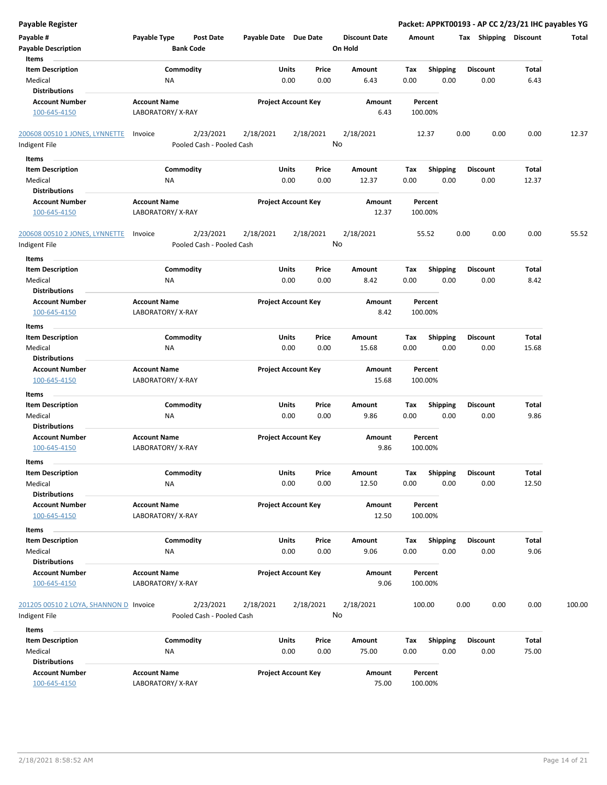| <b>Payable Register</b>                |                     |                           |                            |                            |                      |             |                         | Packet: APPKT00193 - AP CC 2/23/21 IHC payables YG |       |        |
|----------------------------------------|---------------------|---------------------------|----------------------------|----------------------------|----------------------|-------------|-------------------------|----------------------------------------------------|-------|--------|
| Payable #                              | Payable Type        | <b>Post Date</b>          | Payable Date Due Date      |                            | <b>Discount Date</b> | Amount      |                         | Tax Shipping Discount                              |       | Total  |
| <b>Payable Description</b>             | <b>Bank Code</b>    |                           |                            |                            | On Hold              |             |                         |                                                    |       |        |
| Items                                  |                     |                           |                            |                            |                      |             |                         |                                                    |       |        |
| <b>Item Description</b>                | Commodity           |                           | Units                      | Price                      | Amount               | Tax         | <b>Shipping</b>         | <b>Discount</b>                                    | Total |        |
| Medical                                | <b>NA</b>           |                           | 0.00                       | 0.00                       | 6.43                 | 0.00        | 0.00                    | 0.00                                               | 6.43  |        |
| <b>Distributions</b>                   |                     |                           |                            |                            |                      |             |                         |                                                    |       |        |
| <b>Account Number</b>                  | <b>Account Name</b> |                           | <b>Project Account Key</b> |                            | Amount               |             | Percent                 |                                                    |       |        |
| 100-645-4150                           | LABORATORY/X-RAY    |                           |                            |                            | 6.43                 |             | 100.00%                 |                                                    |       |        |
|                                        |                     |                           |                            |                            |                      |             |                         |                                                    |       |        |
| 200608 00510 1 JONES, LYNNETTE         | Invoice             | 2/23/2021                 | 2/18/2021                  | 2/18/2021                  | 2/18/2021            |             | 12.37                   | 0.00<br>0.00                                       | 0.00  | 12.37  |
| Indigent File                          |                     | Pooled Cash - Pooled Cash |                            |                            | No                   |             |                         |                                                    |       |        |
| Items                                  |                     |                           |                            |                            |                      |             |                         |                                                    |       |        |
| <b>Item Description</b>                | Commodity           |                           | Units                      | Price                      | Amount               | Tax         | <b>Shipping</b>         | <b>Discount</b>                                    | Total |        |
| Medical                                | NA                  |                           | 0.00                       | 0.00                       | 12.37                | 0.00        | 0.00                    | 0.00                                               | 12.37 |        |
| <b>Distributions</b>                   |                     |                           |                            |                            |                      |             |                         |                                                    |       |        |
| <b>Account Number</b>                  | <b>Account Name</b> |                           | <b>Project Account Key</b> |                            | Amount               |             | Percent                 |                                                    |       |        |
| 100-645-4150                           | LABORATORY/X-RAY    |                           |                            |                            | 12.37                |             | 100.00%                 |                                                    |       |        |
|                                        |                     |                           |                            |                            |                      |             |                         |                                                    |       |        |
| 200608 00510 2 JONES, LYNNETTE         | Invoice             | 2/23/2021                 | 2/18/2021                  | 2/18/2021                  | 2/18/2021            |             | 55.52                   | 0.00<br>0.00                                       | 0.00  | 55.52  |
| Indigent File                          |                     | Pooled Cash - Pooled Cash |                            |                            | No                   |             |                         |                                                    |       |        |
|                                        |                     |                           |                            |                            |                      |             |                         |                                                    |       |        |
| Items                                  |                     |                           |                            |                            |                      |             |                         |                                                    |       |        |
| <b>Item Description</b>                | Commodity           |                           | Units                      | Price                      | Amount               | Tax         | <b>Shipping</b>         | <b>Discount</b>                                    | Total |        |
| Medical                                | <b>NA</b>           |                           | 0.00                       | 0.00                       | 8.42                 | 0.00        | 0.00                    | 0.00                                               | 8.42  |        |
| <b>Distributions</b>                   |                     |                           |                            |                            |                      |             |                         |                                                    |       |        |
| <b>Account Number</b>                  | <b>Account Name</b> |                           | <b>Project Account Key</b> |                            | <b>Amount</b>        |             | Percent                 |                                                    |       |        |
| 100-645-4150                           | LABORATORY/X-RAY    |                           |                            |                            | 8.42                 |             | 100.00%                 |                                                    |       |        |
| Items                                  |                     |                           |                            |                            |                      |             |                         |                                                    |       |        |
| <b>Item Description</b>                | Commodity           |                           | Units                      | Price                      | Amount               | Tax         | <b>Shipping</b>         | <b>Discount</b>                                    | Total |        |
| Medical                                | NA                  |                           | 0.00                       | 0.00                       | 15.68                | 0.00        | 0.00                    | 0.00                                               | 15.68 |        |
| <b>Distributions</b>                   |                     |                           |                            |                            |                      |             |                         |                                                    |       |        |
| <b>Account Number</b>                  | <b>Account Name</b> |                           | <b>Project Account Key</b> |                            | Amount               |             | Percent                 |                                                    |       |        |
| 100-645-4150                           | LABORATORY/X-RAY    |                           |                            |                            | 15.68                |             | 100.00%                 |                                                    |       |        |
| Items                                  |                     |                           |                            |                            |                      |             |                         |                                                    |       |        |
| <b>Item Description</b>                | Commodity           |                           | Units                      | Price                      | Amount               | Tax         | <b>Shipping</b>         | <b>Discount</b>                                    | Total |        |
| Medical                                | NA                  |                           | 0.00                       | 0.00                       | 9.86                 | 0.00        | 0.00                    | 0.00                                               | 9.86  |        |
| <b>Distributions</b>                   |                     |                           |                            |                            |                      |             |                         |                                                    |       |        |
| <b>Account Number</b>                  | <b>Account Name</b> |                           |                            | <b>Project Account Key</b> | Amount               |             | Percent                 |                                                    |       |        |
| 100-645-4150                           | LABORATORY/X-RAY    |                           |                            |                            | 9.86                 |             | 100.00%                 |                                                    |       |        |
| ltems                                  |                     |                           |                            |                            |                      |             |                         |                                                    |       |        |
| <b>Item Description</b>                | Commodity           |                           | Units                      | Price                      | Amount               | Tax         | Shipping                | <b>Discount</b>                                    | Total |        |
| Medical                                | NA                  |                           | 0.00                       | 0.00                       | 12.50                | 0.00        | 0.00                    | 0.00                                               | 12.50 |        |
| <b>Distributions</b>                   |                     |                           |                            |                            |                      |             |                         |                                                    |       |        |
| <b>Account Number</b>                  | <b>Account Name</b> |                           | <b>Project Account Key</b> |                            | Amount               |             | Percent                 |                                                    |       |        |
| 100-645-4150                           | LABORATORY/ X-RAY   |                           |                            |                            | 12.50                |             | 100.00%                 |                                                    |       |        |
|                                        |                     |                           |                            |                            |                      |             |                         |                                                    |       |        |
| Items<br><b>Item Description</b>       | Commodity           |                           | Units                      | Price                      |                      |             |                         | <b>Discount</b>                                    | Total |        |
| Medical                                | NA                  |                           | 0.00                       | 0.00                       | Amount<br>9.06       | Tax<br>0.00 | <b>Shipping</b><br>0.00 | 0.00                                               | 9.06  |        |
| <b>Distributions</b>                   |                     |                           |                            |                            |                      |             |                         |                                                    |       |        |
| <b>Account Number</b>                  | <b>Account Name</b> |                           |                            | <b>Project Account Key</b> | Amount               |             |                         |                                                    |       |        |
| 100-645-4150                           | LABORATORY/X-RAY    |                           |                            |                            | 9.06                 |             | Percent<br>100.00%      |                                                    |       |        |
|                                        |                     |                           |                            |                            |                      |             |                         |                                                    |       |        |
| 201205 00510 2 LOYA, SHANNON D Invoice |                     | 2/23/2021                 | 2/18/2021                  | 2/18/2021                  | 2/18/2021            |             | 100.00                  | 0.00<br>0.00                                       | 0.00  | 100.00 |
| Indigent File                          |                     | Pooled Cash - Pooled Cash |                            |                            | No                   |             |                         |                                                    |       |        |
|                                        |                     |                           |                            |                            |                      |             |                         |                                                    |       |        |
| Items                                  |                     |                           |                            |                            |                      |             |                         |                                                    |       |        |
| <b>Item Description</b>                | Commodity           |                           | Units                      | Price                      | Amount               | Tax         | <b>Shipping</b>         | <b>Discount</b>                                    | Total |        |
| Medical                                | NA                  |                           | 0.00                       | 0.00                       | 75.00                | 0.00        | 0.00                    | 0.00                                               | 75.00 |        |
| <b>Distributions</b>                   |                     |                           |                            |                            |                      |             |                         |                                                    |       |        |
| <b>Account Number</b>                  | <b>Account Name</b> |                           | <b>Project Account Key</b> |                            | Amount               |             | Percent                 |                                                    |       |        |
| 100-645-4150                           | LABORATORY/ X-RAY   |                           |                            |                            | 75.00                |             | 100.00%                 |                                                    |       |        |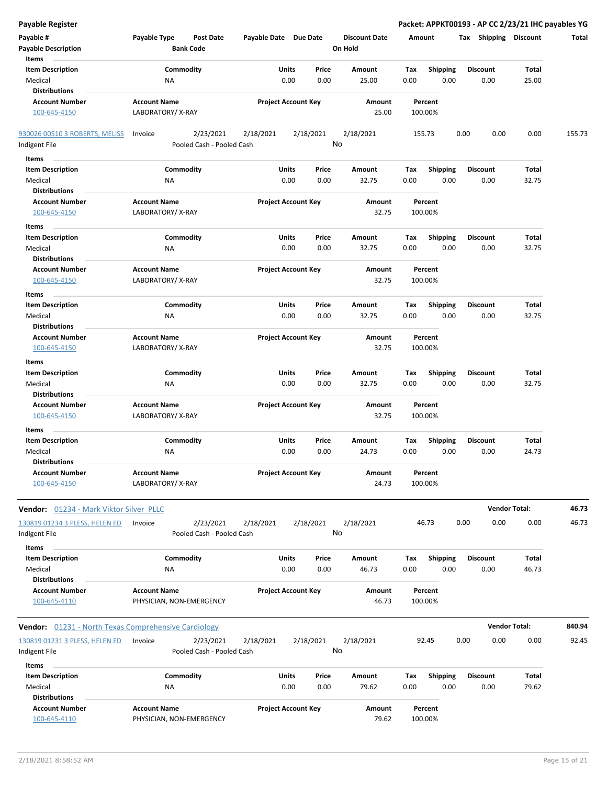| Payable #<br>Payable Type<br><b>Post Date</b><br>Payable Date Due Date<br><b>Discount Date</b><br>Tax Shipping Discount<br>Amount<br><b>Payable Description</b><br><b>Bank Code</b><br>On Hold<br>Items<br><b>Item Description</b><br>Commodity<br>Units<br>Price<br><b>Amount</b><br><b>Shipping</b><br><b>Discount</b><br>Total<br>Tax<br>Medical<br><b>NA</b><br>0.00<br>0.00<br>25.00<br>0.00<br>0.00<br>25.00<br>0.00<br><b>Distributions</b><br><b>Account Number</b><br><b>Account Name</b><br><b>Project Account Key</b><br>Amount<br>Percent<br>LABORATORY/X-RAY<br>25.00<br>100.00%<br>100-645-4150<br>2/23/2021<br>2/18/2021<br>2/18/2021<br>2/18/2021<br>0.00<br>930026 00510 3 ROBERTS, MELISS<br>Invoice<br>155.73<br>0.00<br>0.00<br>No<br>Pooled Cash - Pooled Cash<br>Indigent File<br>Items<br><b>Item Description</b><br>Commodity<br>Units<br><b>Shipping</b><br>Price<br>Amount<br>Tax<br><b>Discount</b><br>Total<br>Medical<br>0.00<br>0.00<br>32.75<br>0.00<br>0.00<br>0.00<br>32.75<br>ΝA | Total<br>155.73 |
|--------------------------------------------------------------------------------------------------------------------------------------------------------------------------------------------------------------------------------------------------------------------------------------------------------------------------------------------------------------------------------------------------------------------------------------------------------------------------------------------------------------------------------------------------------------------------------------------------------------------------------------------------------------------------------------------------------------------------------------------------------------------------------------------------------------------------------------------------------------------------------------------------------------------------------------------------------------------------------------------------------------------|-----------------|
|                                                                                                                                                                                                                                                                                                                                                                                                                                                                                                                                                                                                                                                                                                                                                                                                                                                                                                                                                                                                                    |                 |
|                                                                                                                                                                                                                                                                                                                                                                                                                                                                                                                                                                                                                                                                                                                                                                                                                                                                                                                                                                                                                    |                 |
|                                                                                                                                                                                                                                                                                                                                                                                                                                                                                                                                                                                                                                                                                                                                                                                                                                                                                                                                                                                                                    |                 |
|                                                                                                                                                                                                                                                                                                                                                                                                                                                                                                                                                                                                                                                                                                                                                                                                                                                                                                                                                                                                                    |                 |
|                                                                                                                                                                                                                                                                                                                                                                                                                                                                                                                                                                                                                                                                                                                                                                                                                                                                                                                                                                                                                    |                 |
|                                                                                                                                                                                                                                                                                                                                                                                                                                                                                                                                                                                                                                                                                                                                                                                                                                                                                                                                                                                                                    |                 |
|                                                                                                                                                                                                                                                                                                                                                                                                                                                                                                                                                                                                                                                                                                                                                                                                                                                                                                                                                                                                                    |                 |
| <b>Distributions</b>                                                                                                                                                                                                                                                                                                                                                                                                                                                                                                                                                                                                                                                                                                                                                                                                                                                                                                                                                                                               |                 |
| <b>Account Name</b><br><b>Project Account Key</b><br>Percent<br><b>Account Number</b><br>Amount<br>LABORATORY/X-RAY<br>32.75<br>100.00%<br>100-645-4150                                                                                                                                                                                                                                                                                                                                                                                                                                                                                                                                                                                                                                                                                                                                                                                                                                                            |                 |
| Items                                                                                                                                                                                                                                                                                                                                                                                                                                                                                                                                                                                                                                                                                                                                                                                                                                                                                                                                                                                                              |                 |
| <b>Item Description</b><br>Commodity<br>Units<br>Price<br>Total<br>Amount<br>Tax<br><b>Shipping</b><br><b>Discount</b>                                                                                                                                                                                                                                                                                                                                                                                                                                                                                                                                                                                                                                                                                                                                                                                                                                                                                             |                 |
| 0.00<br>Medical<br><b>NA</b><br>0.00<br>0.00<br>32.75<br>0.00<br>0.00<br>32.75                                                                                                                                                                                                                                                                                                                                                                                                                                                                                                                                                                                                                                                                                                                                                                                                                                                                                                                                     |                 |
| <b>Distributions</b><br><b>Account Name</b><br><b>Project Account Key</b><br><b>Account Number</b><br>Amount<br>Percent<br>100-645-4150<br>LABORATORY/X-RAY<br>32.75<br>100.00%                                                                                                                                                                                                                                                                                                                                                                                                                                                                                                                                                                                                                                                                                                                                                                                                                                    |                 |
| Items                                                                                                                                                                                                                                                                                                                                                                                                                                                                                                                                                                                                                                                                                                                                                                                                                                                                                                                                                                                                              |                 |
| Commodity<br><b>Item Description</b><br>Units<br>Price<br>Amount<br>Tax<br><b>Shipping</b><br><b>Discount</b><br>Total                                                                                                                                                                                                                                                                                                                                                                                                                                                                                                                                                                                                                                                                                                                                                                                                                                                                                             |                 |
| 0.00<br>Medical<br><b>NA</b><br>0.00<br>0.00<br>32.75<br>0.00<br>0.00<br>32.75                                                                                                                                                                                                                                                                                                                                                                                                                                                                                                                                                                                                                                                                                                                                                                                                                                                                                                                                     |                 |
| <b>Distributions</b>                                                                                                                                                                                                                                                                                                                                                                                                                                                                                                                                                                                                                                                                                                                                                                                                                                                                                                                                                                                               |                 |
| <b>Project Account Key</b><br><b>Account Number</b><br><b>Account Name</b><br>Amount<br>Percent<br>LABORATORY/X-RAY<br>32.75<br>100.00%<br>100-645-4150                                                                                                                                                                                                                                                                                                                                                                                                                                                                                                                                                                                                                                                                                                                                                                                                                                                            |                 |
| Items                                                                                                                                                                                                                                                                                                                                                                                                                                                                                                                                                                                                                                                                                                                                                                                                                                                                                                                                                                                                              |                 |
| <b>Item Description</b><br>Commodity<br>Units<br>Price<br>Amount<br><b>Shipping</b><br><b>Discount</b><br>Total<br>Tax                                                                                                                                                                                                                                                                                                                                                                                                                                                                                                                                                                                                                                                                                                                                                                                                                                                                                             |                 |
| Medical<br>NA<br>0.00<br>32.75<br>0.00<br>0.00<br>32.75<br>0.00<br>0.00<br><b>Distributions</b>                                                                                                                                                                                                                                                                                                                                                                                                                                                                                                                                                                                                                                                                                                                                                                                                                                                                                                                    |                 |
| <b>Account Name</b><br><b>Project Account Key</b><br><b>Account Number</b><br>Amount<br>Percent<br>100-645-4150<br>LABORATORY/X-RAY<br>32.75<br>100.00%                                                                                                                                                                                                                                                                                                                                                                                                                                                                                                                                                                                                                                                                                                                                                                                                                                                            |                 |
| Items                                                                                                                                                                                                                                                                                                                                                                                                                                                                                                                                                                                                                                                                                                                                                                                                                                                                                                                                                                                                              |                 |
| <b>Item Description</b><br>Commodity<br>Total<br>Units<br>Price<br>Amount<br><b>Shipping</b><br><b>Discount</b><br>Tax                                                                                                                                                                                                                                                                                                                                                                                                                                                                                                                                                                                                                                                                                                                                                                                                                                                                                             |                 |
| 0.00<br>0.00<br>24.73<br>0.00<br>0.00<br>0.00<br>24.73<br>Medical<br><b>NA</b><br><b>Distributions</b>                                                                                                                                                                                                                                                                                                                                                                                                                                                                                                                                                                                                                                                                                                                                                                                                                                                                                                             |                 |
| <b>Project Account Key</b><br><b>Account Number</b><br><b>Account Name</b><br>Amount<br>Percent<br>100-645-4150<br>LABORATORY/X-RAY<br>24.73<br>100.00%                                                                                                                                                                                                                                                                                                                                                                                                                                                                                                                                                                                                                                                                                                                                                                                                                                                            |                 |
|                                                                                                                                                                                                                                                                                                                                                                                                                                                                                                                                                                                                                                                                                                                                                                                                                                                                                                                                                                                                                    |                 |
| <b>Vendor Total:</b><br>Vendor: 01234 - Mark Viktor Silver PLLC                                                                                                                                                                                                                                                                                                                                                                                                                                                                                                                                                                                                                                                                                                                                                                                                                                                                                                                                                    | 46.73           |
| 2/23/2021<br>46.73<br>0.00<br>0.00<br>0.00<br>130819 01234 3 PLESS, HELEN ED<br>2/18/2021<br>2/18/2021<br>2/18/2021<br>Invoice                                                                                                                                                                                                                                                                                                                                                                                                                                                                                                                                                                                                                                                                                                                                                                                                                                                                                     | 46.73           |
| No<br>Pooled Cash - Pooled Cash<br>Indigent File<br>Items                                                                                                                                                                                                                                                                                                                                                                                                                                                                                                                                                                                                                                                                                                                                                                                                                                                                                                                                                          |                 |
| <b>Item Description</b><br>Commodity<br>Units<br><b>Shipping</b><br><b>Discount</b><br>Total<br>Price<br>Amount<br>Tax                                                                                                                                                                                                                                                                                                                                                                                                                                                                                                                                                                                                                                                                                                                                                                                                                                                                                             |                 |
| Medical<br>0.00<br>0.00<br>0.00<br>46.73<br>0.00<br>0.00<br>46.73<br>ΝA<br><b>Distributions</b>                                                                                                                                                                                                                                                                                                                                                                                                                                                                                                                                                                                                                                                                                                                                                                                                                                                                                                                    |                 |
| <b>Account Name</b><br><b>Project Account Key</b><br><b>Account Number</b><br>Amount<br>Percent                                                                                                                                                                                                                                                                                                                                                                                                                                                                                                                                                                                                                                                                                                                                                                                                                                                                                                                    |                 |
| 46.73<br>100-645-4110<br>PHYSICIAN, NON-EMERGENCY<br>100.00%                                                                                                                                                                                                                                                                                                                                                                                                                                                                                                                                                                                                                                                                                                                                                                                                                                                                                                                                                       |                 |
| <b>Vendor Total:</b><br>Vendor: 01231 - North Texas Comprehensive Cardiology                                                                                                                                                                                                                                                                                                                                                                                                                                                                                                                                                                                                                                                                                                                                                                                                                                                                                                                                       | 840.94          |
| 2/18/2021<br>0.00<br>0.00<br>130819 01231 3 PLESS, HELEN ED<br>2/23/2021<br>2/18/2021<br>2/18/2021<br>92.45<br>0.00<br>Invoice                                                                                                                                                                                                                                                                                                                                                                                                                                                                                                                                                                                                                                                                                                                                                                                                                                                                                     | 92.45           |
| No<br>Pooled Cash - Pooled Cash<br>Indigent File                                                                                                                                                                                                                                                                                                                                                                                                                                                                                                                                                                                                                                                                                                                                                                                                                                                                                                                                                                   |                 |
| Items                                                                                                                                                                                                                                                                                                                                                                                                                                                                                                                                                                                                                                                                                                                                                                                                                                                                                                                                                                                                              |                 |
| Commodity<br><b>Item Description</b><br>Units<br>Shipping<br><b>Discount</b><br>Price<br>Amount<br>Total<br>Tax                                                                                                                                                                                                                                                                                                                                                                                                                                                                                                                                                                                                                                                                                                                                                                                                                                                                                                    |                 |
| 0.00<br>79.62<br>Medical<br>NA<br>0.00<br>79.62<br>0.00<br>0.00<br>0.00<br><b>Distributions</b>                                                                                                                                                                                                                                                                                                                                                                                                                                                                                                                                                                                                                                                                                                                                                                                                                                                                                                                    |                 |
| <b>Account Number</b><br><b>Account Name</b><br><b>Project Account Key</b><br>Amount<br>Percent<br>100-645-4110<br>PHYSICIAN, NON-EMERGENCY<br>79.62<br>100.00%                                                                                                                                                                                                                                                                                                                                                                                                                                                                                                                                                                                                                                                                                                                                                                                                                                                    |                 |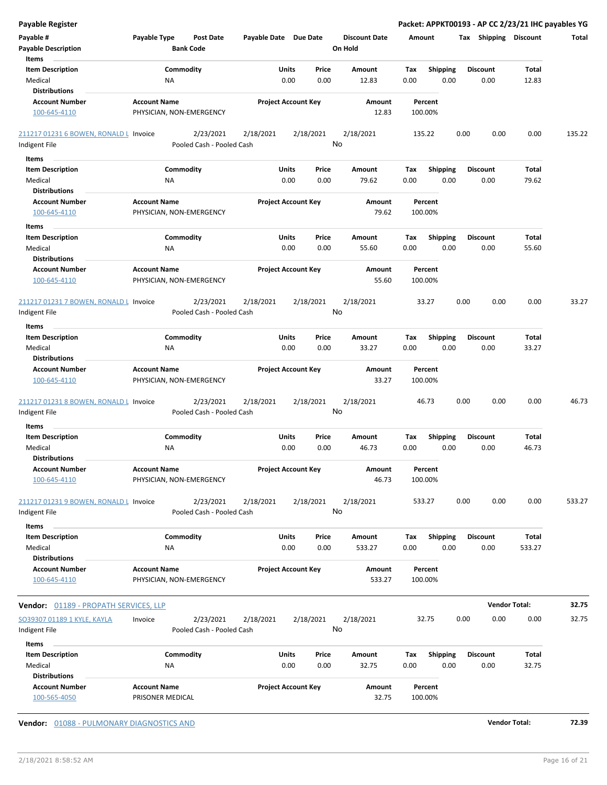| <b>Payable Register</b>                                 |                                                 |                                        |                       |                            |                                 |         |                 |      |                       | Packet: APPKT00193 - AP CC 2/23/21 IHC payables YG |        |
|---------------------------------------------------------|-------------------------------------------------|----------------------------------------|-----------------------|----------------------------|---------------------------------|---------|-----------------|------|-----------------------|----------------------------------------------------|--------|
| Payable #<br><b>Payable Description</b>                 | Payable Type<br><b>Bank Code</b>                | Post Date                              | Payable Date Due Date |                            | <b>Discount Date</b><br>On Hold | Amount  |                 |      | Tax Shipping Discount |                                                    | Total  |
| Items<br><b>Item Description</b>                        | Commodity                                       |                                        | Units                 | Price                      | Amount                          | Tax     | <b>Shipping</b> |      | <b>Discount</b>       | Total                                              |        |
| Medical                                                 | <b>NA</b>                                       |                                        |                       | 0.00<br>0.00               | 12.83                           | 0.00    | 0.00            |      | 0.00                  | 12.83                                              |        |
| <b>Distributions</b>                                    |                                                 |                                        |                       |                            |                                 |         |                 |      |                       |                                                    |        |
| <b>Account Number</b>                                   | <b>Account Name</b>                             |                                        |                       | <b>Project Account Key</b> | Amount                          |         | Percent         |      |                       |                                                    |        |
| 100-645-4110                                            | PHYSICIAN, NON-EMERGENCY                        |                                        |                       |                            | 12.83                           | 100.00% |                 |      |                       |                                                    |        |
| 211217 01231 6 BOWEN, RONALD L Invoice                  |                                                 | 2/23/2021                              | 2/18/2021             | 2/18/2021                  | 2/18/2021                       | 135.22  |                 | 0.00 | 0.00                  | 0.00                                               | 135.22 |
| Indigent File                                           |                                                 | Pooled Cash - Pooled Cash              |                       |                            | No                              |         |                 |      |                       |                                                    |        |
| Items                                                   |                                                 |                                        |                       |                            |                                 |         |                 |      |                       |                                                    |        |
| <b>Item Description</b>                                 | Commodity                                       |                                        | Units                 | Price                      | Amount                          | Tax     | <b>Shipping</b> |      | <b>Discount</b>       | Total                                              |        |
| Medical                                                 | ΝA                                              |                                        |                       | 0.00<br>0.00               | 79.62                           | 0.00    | 0.00            |      | 0.00                  | 79.62                                              |        |
| <b>Distributions</b>                                    |                                                 |                                        |                       |                            |                                 |         |                 |      |                       |                                                    |        |
| <b>Account Number</b>                                   | <b>Account Name</b>                             |                                        |                       | <b>Project Account Key</b> | Amount                          |         | Percent         |      |                       |                                                    |        |
| 100-645-4110                                            | PHYSICIAN, NON-EMERGENCY                        |                                        |                       |                            | 79.62                           | 100.00% |                 |      |                       |                                                    |        |
| Items                                                   |                                                 |                                        |                       |                            |                                 |         |                 |      |                       |                                                    |        |
| <b>Item Description</b>                                 | Commodity                                       |                                        | Units                 | Price                      | Amount                          | Tax     | <b>Shipping</b> |      | <b>Discount</b>       | <b>Total</b>                                       |        |
| Medical                                                 | <b>NA</b>                                       |                                        |                       | 0.00<br>0.00               | 55.60                           | 0.00    | 0.00            |      | 0.00                  | 55.60                                              |        |
| <b>Distributions</b>                                    |                                                 |                                        |                       |                            |                                 |         |                 |      |                       |                                                    |        |
| <b>Account Number</b>                                   | <b>Account Name</b>                             |                                        |                       | <b>Project Account Key</b> | Amount                          |         | Percent         |      |                       |                                                    |        |
| 100-645-4110                                            | PHYSICIAN, NON-EMERGENCY                        |                                        |                       |                            | 55.60                           | 100.00% |                 |      |                       |                                                    |        |
| 211217 01231 7 BOWEN, RONALD L Invoice                  |                                                 | 2/23/2021                              | 2/18/2021             | 2/18/2021                  | 2/18/2021                       |         | 33.27           | 0.00 | 0.00                  | 0.00                                               | 33.27  |
| Indigent File                                           |                                                 | Pooled Cash - Pooled Cash              |                       |                            | No                              |         |                 |      |                       |                                                    |        |
| Items                                                   |                                                 |                                        |                       |                            |                                 |         |                 |      |                       |                                                    |        |
| <b>Item Description</b>                                 | Commodity                                       |                                        | Units                 | Price                      | Amount                          | Tax     | <b>Shipping</b> |      | <b>Discount</b>       | Total                                              |        |
| Medical                                                 | <b>NA</b>                                       |                                        |                       | 0.00<br>0.00               | 33.27                           | 0.00    | 0.00            |      | 0.00                  | 33.27                                              |        |
| <b>Distributions</b>                                    |                                                 |                                        |                       |                            |                                 |         |                 |      |                       |                                                    |        |
| <b>Account Number</b>                                   | <b>Account Name</b>                             |                                        |                       | <b>Project Account Key</b> | Amount                          |         | Percent         |      |                       |                                                    |        |
| 100-645-4110                                            | PHYSICIAN, NON-EMERGENCY                        |                                        |                       |                            | 33.27                           | 100.00% |                 |      |                       |                                                    |        |
| 211217 01231 8 BOWEN, RONALD L Invoice                  |                                                 | 2/23/2021                              | 2/18/2021             | 2/18/2021                  | 2/18/2021                       |         | 46.73           | 0.00 | 0.00                  | 0.00                                               | 46.73  |
| Indigent File                                           |                                                 | Pooled Cash - Pooled Cash              |                       |                            | No                              |         |                 |      |                       |                                                    |        |
| Items                                                   |                                                 |                                        |                       |                            |                                 |         |                 |      |                       |                                                    |        |
| <b>Item Description</b>                                 | Commodity                                       |                                        | Units                 | Price                      | Amount                          | Tax     | <b>Shipping</b> |      | <b>Discount</b>       | Total                                              |        |
| Medical                                                 | <b>NA</b>                                       |                                        |                       | 0.00<br>0.00               | 46.73                           | 0.00    | 0.00            |      | 0.00                  | 46.73                                              |        |
| <b>Distributions</b>                                    |                                                 |                                        |                       |                            |                                 |         |                 |      |                       |                                                    |        |
| <b>Account Number</b><br>100-645-4110                   | <b>Account Name</b><br>PHYSICIAN, NON-EMERGENCY |                                        |                       | <b>Project Account Key</b> | Amount<br>46.73                 | 100.00% | Percent         |      |                       |                                                    |        |
| 211217 01231 9 BOWEN, RONALD L Invoice<br>Indigent File |                                                 | 2/23/2021<br>Pooled Cash - Pooled Cash | 2/18/2021             | 2/18/2021                  | 2/18/2021<br>No                 | 533.27  |                 | 0.00 | 0.00                  | 0.00                                               | 533.27 |
| Items                                                   |                                                 |                                        |                       |                            |                                 |         |                 |      |                       |                                                    |        |
| <b>Item Description</b>                                 | Commodity                                       |                                        | Units                 | Price                      | Amount                          | Tax     | Shipping        |      | <b>Discount</b>       | Total                                              |        |
| Medical                                                 | <b>NA</b>                                       |                                        |                       | 0.00<br>0.00               | 533.27                          | 0.00    | 0.00            |      | 0.00                  | 533.27                                             |        |
| <b>Distributions</b>                                    |                                                 |                                        |                       |                            |                                 |         |                 |      |                       |                                                    |        |
| <b>Account Number</b>                                   | <b>Account Name</b>                             |                                        |                       | <b>Project Account Key</b> | Amount                          |         | Percent         |      |                       |                                                    |        |
| 100-645-4110                                            | PHYSICIAN, NON-EMERGENCY                        |                                        |                       |                            | 533.27                          | 100.00% |                 |      |                       |                                                    |        |
| Vendor: 01189 - PROPATH SERVICES, LLP                   |                                                 |                                        |                       |                            |                                 |         |                 |      |                       | <b>Vendor Total:</b>                               | 32.75  |
| SO39307 01189 1 KYLE, KAYLA                             | Invoice                                         | 2/23/2021                              | 2/18/2021             | 2/18/2021                  | 2/18/2021                       |         | 32.75           | 0.00 | 0.00                  | 0.00                                               | 32.75  |
| Indigent File                                           |                                                 | Pooled Cash - Pooled Cash              |                       |                            | No                              |         |                 |      |                       |                                                    |        |
| Items                                                   |                                                 |                                        |                       |                            |                                 |         |                 |      |                       |                                                    |        |
| <b>Item Description</b>                                 | Commodity                                       |                                        | Units                 | Price                      | Amount                          | Tax     | <b>Shipping</b> |      | <b>Discount</b>       | Total                                              |        |
| Medical                                                 | <b>NA</b>                                       |                                        |                       | 0.00<br>0.00               | 32.75                           | 0.00    | 0.00            |      | 0.00                  | 32.75                                              |        |
| <b>Distributions</b>                                    |                                                 |                                        |                       |                            |                                 |         |                 |      |                       |                                                    |        |
| <b>Account Number</b><br>100-565-4050                   | <b>Account Name</b><br>PRISONER MEDICAL         |                                        |                       | <b>Project Account Key</b> | Amount<br>32.75                 | 100.00% | Percent         |      |                       |                                                    |        |
|                                                         |                                                 |                                        |                       |                            |                                 |         |                 |      |                       |                                                    |        |

**Vendor:** 01088 - PULMONARY DIAGNOSTICS AND **Vendor Total: 72.39**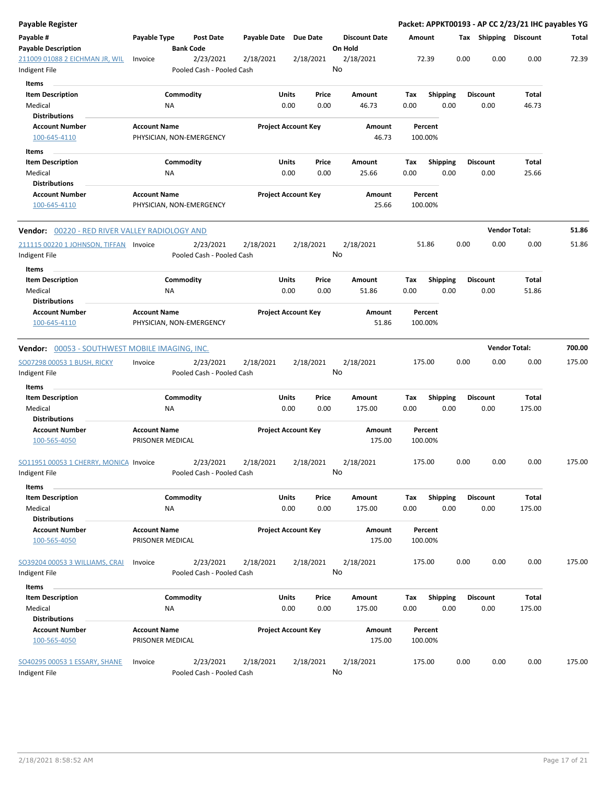| Payable Register                                      |                                         |                                        |              |                                |                      |                    |                 |      |                       | Packet: APPKT00193 - AP CC 2/23/21 IHC payables YG |        |
|-------------------------------------------------------|-----------------------------------------|----------------------------------------|--------------|--------------------------------|----------------------|--------------------|-----------------|------|-----------------------|----------------------------------------------------|--------|
| Payable #                                             | Payable Type                            | <b>Post Date</b>                       | Payable Date | Due Date                       | <b>Discount Date</b> | Amount             |                 |      | Tax Shipping Discount |                                                    | Total  |
| <b>Payable Description</b>                            |                                         | <b>Bank Code</b>                       |              |                                | On Hold              |                    |                 |      |                       |                                                    |        |
| 211009 01088 2 EICHMAN JR, WIL<br>Indigent File       | Invoice                                 | 2/23/2021<br>Pooled Cash - Pooled Cash | 2/18/2021    | 2/18/2021                      | 2/18/2021<br>No      | 72.39              |                 | 0.00 | 0.00                  | 0.00                                               | 72.39  |
| Items                                                 |                                         |                                        |              |                                |                      |                    |                 |      |                       |                                                    |        |
| <b>Item Description</b>                               |                                         | Commodity                              |              | Units<br>Price                 | Amount               | Tax                | <b>Shipping</b> |      | <b>Discount</b>       | Total                                              |        |
| Medical                                               |                                         | ΝA                                     |              | 0.00<br>0.00                   | 46.73                | 0.00               | 0.00            |      | 0.00                  | 46.73                                              |        |
| <b>Distributions</b>                                  |                                         |                                        |              |                                |                      |                    |                 |      |                       |                                                    |        |
| <b>Account Number</b>                                 | <b>Account Name</b>                     |                                        |              | <b>Project Account Key</b>     | Amount               | Percent            |                 |      |                       |                                                    |        |
| 100-645-4110                                          |                                         | PHYSICIAN, NON-EMERGENCY               |              |                                | 46.73                | 100.00%            |                 |      |                       |                                                    |        |
| Items                                                 |                                         |                                        |              |                                |                      |                    |                 |      |                       |                                                    |        |
| <b>Item Description</b>                               |                                         | Commodity                              |              | Units<br>Price                 | Amount               | Тах                | <b>Shipping</b> |      | <b>Discount</b>       | Total                                              |        |
| Medical                                               |                                         | ΝA                                     |              | 0.00<br>0.00                   | 25.66                | 0.00               | 0.00            |      | 0.00                  | 25.66                                              |        |
| <b>Distributions</b>                                  |                                         |                                        |              |                                |                      |                    |                 |      |                       |                                                    |        |
| <b>Account Number</b>                                 | <b>Account Name</b>                     |                                        |              | <b>Project Account Key</b>     | Amount               | Percent            |                 |      |                       |                                                    |        |
| 100-645-4110                                          |                                         | PHYSICIAN, NON-EMERGENCY               |              |                                | 25.66                | 100.00%            |                 |      |                       |                                                    |        |
| <b>Vendor:</b> 00220 - RED RIVER VALLEY RADIOLOGY AND |                                         |                                        |              |                                |                      |                    |                 |      |                       | <b>Vendor Total:</b>                               | 51.86  |
| 211115 00220 1 JOHNSON, TIFFAN Invoice                |                                         | 2/23/2021                              | 2/18/2021    | 2/18/2021                      | 2/18/2021            | 51.86              |                 | 0.00 | 0.00                  | 0.00                                               | 51.86  |
| Indigent File                                         |                                         | Pooled Cash - Pooled Cash              |              |                                | No                   |                    |                 |      |                       |                                                    |        |
| <b>Items</b>                                          |                                         |                                        |              |                                |                      |                    |                 |      |                       |                                                    |        |
| <b>Item Description</b>                               |                                         | Commodity                              |              | Units<br>Price                 | Amount               | Tax                | <b>Shipping</b> |      | <b>Discount</b>       | Total                                              |        |
| Medical                                               |                                         | NA                                     |              | 0.00<br>0.00                   | 51.86                | 0.00               | 0.00            |      | 0.00                  | 51.86                                              |        |
| <b>Distributions</b>                                  |                                         |                                        |              |                                |                      |                    |                 |      |                       |                                                    |        |
| <b>Account Number</b><br>100-645-4110                 | <b>Account Name</b>                     | PHYSICIAN, NON-EMERGENCY               |              | <b>Project Account Key</b>     | Amount<br>51.86      | Percent<br>100.00% |                 |      |                       |                                                    |        |
| Vendor: 00053 - SOUTHWEST MOBILE IMAGING, INC.        |                                         |                                        |              |                                |                      |                    |                 |      |                       | <b>Vendor Total:</b>                               | 700.00 |
| SO07298 00053 1 BUSH, RICKY                           | Invoice                                 | 2/23/2021                              | 2/18/2021    | 2/18/2021                      | 2/18/2021            | 175.00             |                 | 0.00 | 0.00                  | 0.00                                               | 175.00 |
| Indigent File                                         |                                         | Pooled Cash - Pooled Cash              |              |                                | No                   |                    |                 |      |                       |                                                    |        |
| <b>Items</b>                                          |                                         |                                        |              |                                |                      |                    |                 |      |                       |                                                    |        |
| <b>Item Description</b>                               |                                         | Commodity                              |              | Units<br>Price<br>0.00<br>0.00 | Amount               | Tax<br>0.00        | <b>Shipping</b> |      | <b>Discount</b>       | Total                                              |        |
| Medical<br><b>Distributions</b>                       |                                         | ΝA                                     |              |                                | 175.00               |                    | 0.00            |      | 0.00                  | 175.00                                             |        |
| <b>Account Number</b>                                 | <b>Account Name</b>                     |                                        |              | <b>Project Account Key</b>     | Amount               | Percent            |                 |      |                       |                                                    |        |
| 100-565-4050                                          | PRISONER MEDICAL                        |                                        |              |                                | 175.00               | 100.00%            |                 |      |                       |                                                    |        |
| SO11951 00053 1 CHERRY, MONICA Invoice                |                                         | 2/23/2021                              | 2/18/2021    | 2/18/2021                      | 2/18/2021            | 175.00             |                 | 0.00 | 0.00                  | 0.00                                               | 175.00 |
| Indigent File                                         |                                         | Pooled Cash - Pooled Cash              |              |                                | No                   |                    |                 |      |                       |                                                    |        |
| Items<br><b>Item Description</b>                      |                                         | Commodity                              |              | Units<br>Price                 | Amount               | Tax                | Shipping        |      | <b>Discount</b>       | Total                                              |        |
| Medical                                               |                                         | NA                                     |              | 0.00<br>0.00                   | 175.00               | 0.00               | 0.00            |      | 0.00                  | 175.00                                             |        |
| <b>Distributions</b>                                  |                                         |                                        |              |                                |                      |                    |                 |      |                       |                                                    |        |
| <b>Account Number</b><br>100-565-4050                 | <b>Account Name</b><br>PRISONER MEDICAL |                                        |              | <b>Project Account Key</b>     | Amount<br>175.00     | Percent<br>100.00% |                 |      |                       |                                                    |        |
| SO39204 00053 3 WILLIAMS, CRAI                        | Invoice                                 | 2/23/2021                              | 2/18/2021    | 2/18/2021                      | 2/18/2021            | 175.00             |                 | 0.00 | 0.00                  | 0.00                                               | 175.00 |
| Indigent File                                         |                                         | Pooled Cash - Pooled Cash              |              |                                | No                   |                    |                 |      |                       |                                                    |        |
| Items                                                 |                                         |                                        |              |                                |                      |                    |                 |      |                       |                                                    |        |
| <b>Item Description</b>                               |                                         | Commodity                              |              | Units<br>Price                 | Amount               | Tax                | <b>Shipping</b> |      | <b>Discount</b>       | Total                                              |        |
| Medical                                               |                                         | ΝA                                     |              | 0.00<br>0.00                   | 175.00               | 0.00               | 0.00            |      | 0.00                  | 175.00                                             |        |
| <b>Distributions</b>                                  |                                         |                                        |              |                                |                      |                    |                 |      |                       |                                                    |        |
| <b>Account Number</b>                                 | <b>Account Name</b>                     |                                        |              | <b>Project Account Key</b>     | Amount               | Percent            |                 |      |                       |                                                    |        |
| 100-565-4050                                          | PRISONER MEDICAL                        |                                        |              |                                | 175.00               | 100.00%            |                 |      |                       |                                                    |        |
| SO40295 00053 1 ESSARY, SHANE<br>Indigent File        | Invoice                                 | 2/23/2021<br>Pooled Cash - Pooled Cash | 2/18/2021    | 2/18/2021                      | 2/18/2021<br>No      | 175.00             |                 | 0.00 | 0.00                  | 0.00                                               | 175.00 |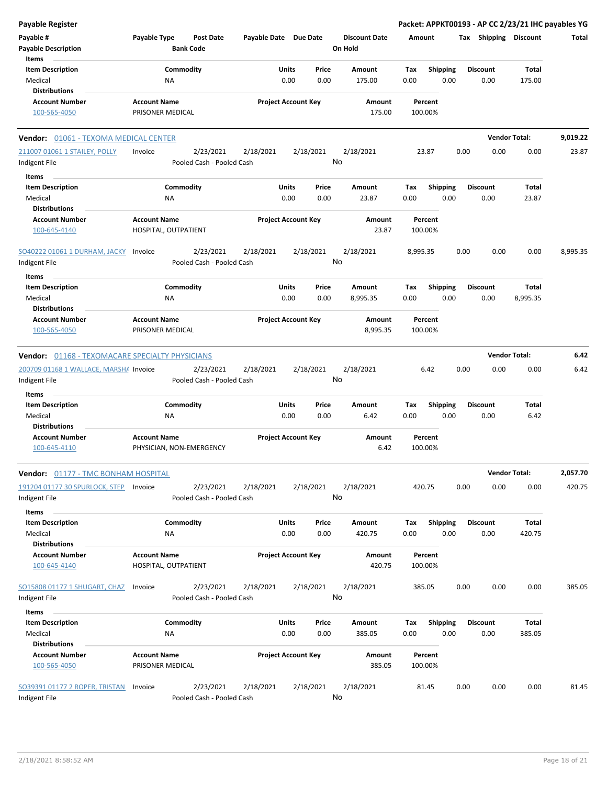| <b>Payable Register</b>                                 |                                             |                                        |                                                |                                               |               |                                 |                    |                         |      |                         | Packet: APPKT00193 - AP CC 2/23/21 IHC payables YG |          |
|---------------------------------------------------------|---------------------------------------------|----------------------------------------|------------------------------------------------|-----------------------------------------------|---------------|---------------------------------|--------------------|-------------------------|------|-------------------------|----------------------------------------------------|----------|
| Payable #<br><b>Payable Description</b>                 | Payable Type                                | <b>Post Date</b><br><b>Bank Code</b>   | Payable Date Due Date                          |                                               |               | <b>Discount Date</b><br>On Hold | Amount             |                         |      | Tax Shipping Discount   |                                                    | Total    |
| Items<br><b>Item Description</b>                        | Commodity                                   |                                        |                                                | Units                                         | Price         | Amount                          | Tax                | <b>Shipping</b>         |      | <b>Discount</b>         | <b>Total</b>                                       |          |
| Medical                                                 | NA                                          |                                        |                                                | 0.00                                          | 0.00          | 175.00                          | 0.00               | 0.00                    |      | 0.00                    | 175.00                                             |          |
| <b>Distributions</b>                                    |                                             |                                        |                                                |                                               |               |                                 |                    |                         |      |                         |                                                    |          |
| <b>Account Number</b>                                   | <b>Account Name</b>                         |                                        |                                                | <b>Project Account Key</b>                    |               | Amount                          |                    | Percent                 |      |                         |                                                    |          |
| 100-565-4050                                            | PRISONER MEDICAL                            |                                        |                                                |                                               |               | 175.00                          |                    | 100.00%                 |      |                         |                                                    |          |
| <b>Vendor: 01061 - TEXOMA MEDICAL CENTER</b>            |                                             |                                        |                                                |                                               |               |                                 |                    |                         |      |                         | <b>Vendor Total:</b>                               | 9,019.22 |
| 211007 01061 1 STAILEY, POLLY                           | Invoice                                     | 2/23/2021                              | 2/18/2021                                      | 2/18/2021                                     |               | 2/18/2021                       |                    | 23.87                   | 0.00 | 0.00                    | 0.00                                               | 23.87    |
| Indigent File                                           |                                             | Pooled Cash - Pooled Cash              |                                                |                                               |               | No                              |                    |                         |      |                         |                                                    |          |
| Items                                                   |                                             |                                        |                                                |                                               |               |                                 |                    |                         |      |                         |                                                    |          |
| <b>Item Description</b>                                 | Commodity                                   |                                        |                                                | Units                                         | Price         | Amount                          | Tax                | <b>Shipping</b>         |      | <b>Discount</b>         | Total                                              |          |
| Medical                                                 | ΝA                                          |                                        |                                                | 0.00                                          | 0.00          | 23.87                           | 0.00               | 0.00                    |      | 0.00                    | 23.87                                              |          |
| <b>Distributions</b>                                    |                                             |                                        |                                                |                                               |               |                                 |                    |                         |      |                         |                                                    |          |
| <b>Account Number</b><br>100-645-4140                   | <b>Account Name</b><br>HOSPITAL, OUTPATIENT |                                        |                                                | <b>Project Account Key</b><br>Amount<br>23.87 |               |                                 | Percent<br>100.00% |                         |      |                         |                                                    |          |
|                                                         |                                             |                                        |                                                |                                               |               |                                 |                    |                         |      |                         |                                                    |          |
| SO40222 01061 1 DURHAM, JACKY                           | Invoice                                     | 2/23/2021                              | 2/18/2021                                      | 2/18/2021                                     |               | 2/18/2021                       | 8,995.35           |                         | 0.00 | 0.00                    | 0.00                                               | 8,995.35 |
| Indigent File                                           |                                             | Pooled Cash - Pooled Cash              |                                                |                                               |               | No                              |                    |                         |      |                         |                                                    |          |
| Items                                                   |                                             |                                        |                                                |                                               |               |                                 |                    |                         |      |                         |                                                    |          |
| <b>Item Description</b>                                 | Commodity                                   |                                        |                                                | Units                                         | Price         | Amount                          | Tax                | Shipping                |      | <b>Discount</b>         | <b>Total</b>                                       |          |
| Medical                                                 | ΝA                                          |                                        |                                                | 0.00                                          | 0.00          | 8,995.35                        | 0.00               | 0.00                    |      | 0.00                    | 8,995.35                                           |          |
| <b>Distributions</b>                                    |                                             |                                        |                                                |                                               |               |                                 |                    |                         |      |                         |                                                    |          |
| <b>Account Number</b><br>100-565-4050                   | <b>Account Name</b><br>PRISONER MEDICAL     |                                        |                                                | <b>Project Account Key</b>                    |               | Amount<br>8,995.35              |                    | Percent<br>100.00%      |      |                         |                                                    |          |
| <b>Vendor: 01168 - TEXOMACARE SPECIALTY PHYSICIANS</b>  |                                             |                                        |                                                |                                               |               |                                 |                    |                         |      |                         | <b>Vendor Total:</b>                               | 6.42     |
| 200709 01168 1 WALLACE, MARSHA Invoice                  |                                             | 2/23/2021                              | 2/18/2021                                      | 2/18/2021                                     |               | 2/18/2021                       |                    | 6.42                    | 0.00 | 0.00                    | 0.00                                               | 6.42     |
| Indigent File                                           |                                             | Pooled Cash - Pooled Cash              |                                                |                                               |               | No                              |                    |                         |      |                         |                                                    |          |
| Items                                                   |                                             |                                        |                                                |                                               |               |                                 |                    |                         |      |                         |                                                    |          |
| <b>Item Description</b><br>Medical                      | Commodity<br>NA                             |                                        |                                                | Units<br>0.00                                 | Price<br>0.00 | Amount<br>6.42                  | Tax<br>0.00        | <b>Shipping</b><br>0.00 |      | <b>Discount</b><br>0.00 | Total<br>6.42                                      |          |
| <b>Distributions</b><br><b>Account Number</b>           | <b>Account Name</b>                         |                                        |                                                | <b>Project Account Key</b>                    |               | Amount                          |                    | Percent                 |      |                         |                                                    |          |
| 100-645-4110                                            | PHYSICIAN, NON-EMERGENCY                    |                                        |                                                |                                               |               | 6.42                            |                    | 100.00%                 |      |                         |                                                    |          |
| <b>Vendor: 01177 - TMC BONHAM HOSPITAL</b>              |                                             |                                        |                                                |                                               |               |                                 |                    |                         |      |                         | <b>Vendor Total:</b>                               | 2,057.70 |
| 191204 01177 30 SPURLOCK, STEP Invoice<br>Indigent File |                                             | 2/23/2021<br>Pooled Cash - Pooled Cash | 2/18/2021                                      | 2/18/2021                                     |               | 2/18/2021<br>No                 |                    | 420.75                  | 0.00 | 0.00                    | 0.00                                               | 420.75   |
| Items                                                   |                                             |                                        |                                                |                                               |               |                                 |                    |                         |      |                         |                                                    |          |
| <b>Item Description</b>                                 | Commodity                                   |                                        |                                                | Units                                         | Price         | Amount                          | Tax                | <b>Shipping</b>         |      | <b>Discount</b>         | <b>Total</b>                                       |          |
| Medical                                                 | ΝA                                          |                                        |                                                | 0.00                                          | 0.00          | 420.75                          | 0.00               | 0.00                    |      | 0.00                    | 420.75                                             |          |
| <b>Distributions</b>                                    |                                             |                                        |                                                |                                               |               |                                 |                    |                         |      |                         |                                                    |          |
| <b>Account Number</b><br>100-645-4140                   | <b>Account Name</b><br>HOSPITAL, OUTPATIENT |                                        |                                                | <b>Project Account Key</b>                    |               | Amount<br>420.75                |                    | Percent<br>100.00%      |      |                         |                                                    |          |
|                                                         |                                             |                                        |                                                |                                               |               |                                 |                    |                         |      |                         |                                                    |          |
| SO15808 01177 1 SHUGART, CHAZ<br>Indigent File          | Invoice                                     | 2/23/2021<br>Pooled Cash - Pooled Cash | 2/18/2021                                      | 2/18/2021                                     |               | 2/18/2021<br>No                 |                    | 385.05                  | 0.00 | 0.00                    | 0.00                                               | 385.05   |
| Items                                                   |                                             |                                        |                                                |                                               |               |                                 |                    |                         |      |                         |                                                    |          |
| <b>Item Description</b>                                 | Commodity                                   |                                        |                                                | <b>Units</b>                                  | Price         | Amount                          | Tax                | <b>Shipping</b>         |      | <b>Discount</b>         | <b>Total</b>                                       |          |
| Medical                                                 | NA                                          |                                        |                                                | 0.00                                          | 0.00          | 385.05                          | 0.00               | 0.00                    |      | 0.00                    | 385.05                                             |          |
| <b>Distributions</b>                                    |                                             |                                        |                                                |                                               |               |                                 |                    |                         |      |                         |                                                    |          |
| <b>Account Number</b><br>100-565-4050                   | <b>Account Name</b><br>PRISONER MEDICAL     |                                        | <b>Project Account Key</b><br>Amount<br>385.05 |                                               |               |                                 | Percent<br>100.00% |                         |      |                         |                                                    |          |
|                                                         |                                             |                                        |                                                |                                               |               |                                 |                    |                         |      |                         |                                                    |          |
| SO39391 01177 2 ROPER, TRISTAN<br>Indigent File         | Invoice                                     | 2/23/2021<br>Pooled Cash - Pooled Cash | 2/18/2021                                      | 2/18/2021                                     |               | 2/18/2021<br>No                 |                    | 81.45                   | 0.00 | 0.00                    | 0.00                                               | 81.45    |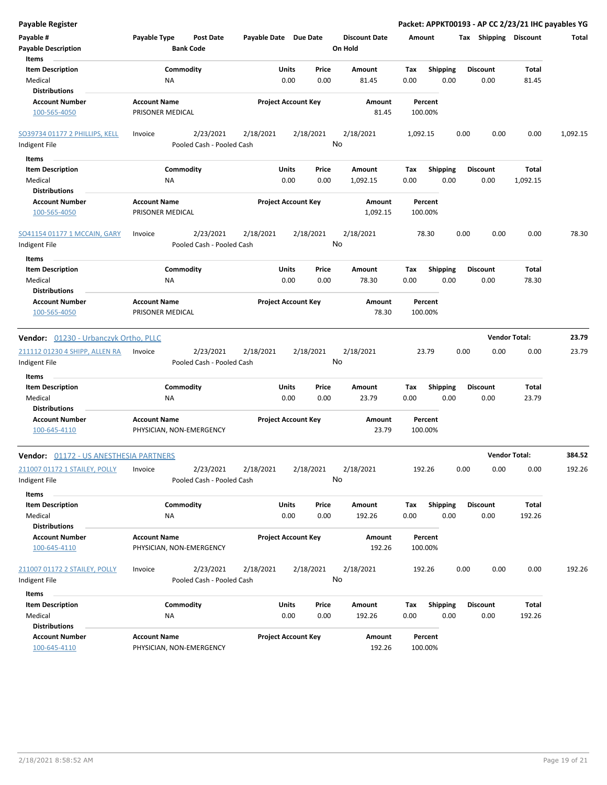| Payable Register                                                    |                                                 |                                        |                       |                            |                                 |             |                         |                         |                      |                   | Packet: APPKT00193 - AP CC 2/23/21 IHC payables YG |
|---------------------------------------------------------------------|-------------------------------------------------|----------------------------------------|-----------------------|----------------------------|---------------------------------|-------------|-------------------------|-------------------------|----------------------|-------------------|----------------------------------------------------|
| Payable #<br><b>Payable Description</b>                             | Payable Type                                    | <b>Post Date</b><br><b>Bank Code</b>   | Payable Date Due Date |                            | <b>Discount Date</b><br>On Hold | Amount      |                         | Tax Shipping Discount   |                      |                   | Total                                              |
| Items<br><b>Item Description</b><br>Medical<br><b>Distributions</b> | Commodity<br>ΝA                                 |                                        | Units                 | Price<br>0.00<br>0.00      | Amount<br>81.45                 | Tax<br>0.00 | Shipping<br>0.00        | <b>Discount</b><br>0.00 |                      | Total<br>81.45    |                                                    |
| <b>Account Number</b><br>100-565-4050                               | <b>Account Name</b><br>PRISONER MEDICAL         |                                        |                       | <b>Project Account Key</b> | Amount<br>81.45                 |             | Percent<br>100.00%      |                         |                      |                   |                                                    |
| SO39734 01177 2 PHILLIPS, KELL<br>Indigent File                     | Invoice                                         | 2/23/2021<br>Pooled Cash - Pooled Cash | 2/18/2021             | 2/18/2021                  | 2/18/2021<br>No                 | 1,092.15    |                         | 0.00                    | 0.00                 | 0.00              | 1,092.15                                           |
| Items                                                               |                                                 |                                        |                       |                            |                                 |             |                         |                         |                      |                   |                                                    |
| <b>Item Description</b><br>Medical                                  | Commodity<br>NA                                 |                                        | Units                 | Price<br>0.00<br>0.00      | Amount<br>1,092.15              | Tax<br>0.00 | <b>Shipping</b><br>0.00 | <b>Discount</b><br>0.00 |                      | Total<br>1,092.15 |                                                    |
| <b>Distributions</b><br><b>Account Number</b><br>100-565-4050       | <b>Account Name</b><br>PRISONER MEDICAL         |                                        |                       | <b>Project Account Key</b> | Amount<br>1,092.15              |             | Percent<br>100.00%      |                         |                      |                   |                                                    |
| SO41154 01177 1 MCCAIN, GARY<br>Indigent File                       | Invoice                                         | 2/23/2021<br>Pooled Cash - Pooled Cash | 2/18/2021             | 2/18/2021                  | 2/18/2021<br>No                 |             | 78.30                   | 0.00                    | 0.00                 | 0.00              | 78.30                                              |
| Items                                                               |                                                 |                                        |                       |                            |                                 |             |                         |                         |                      |                   |                                                    |
| <b>Item Description</b><br>Medical<br><b>Distributions</b>          | Commodity<br>ΝA                                 |                                        | Units                 | Price<br>0.00<br>0.00      | Amount<br>78.30                 | Tax<br>0.00 | <b>Shipping</b><br>0.00 | <b>Discount</b><br>0.00 |                      | Total<br>78.30    |                                                    |
| <b>Account Number</b><br>100-565-4050                               | <b>Account Name</b><br>PRISONER MEDICAL         |                                        |                       | <b>Project Account Key</b> | Amount<br>78.30                 |             | Percent<br>100.00%      |                         |                      |                   |                                                    |
| Vendor: 01230 - Urbanczyk Ortho, PLLC                               |                                                 |                                        |                       |                            |                                 |             |                         |                         | <b>Vendor Total:</b> |                   | 23.79                                              |
| 211112 01230 4 SHIPP, ALLEN RA<br>Indigent File                     | Invoice                                         | 2/23/2021<br>Pooled Cash - Pooled Cash | 2/18/2021             | 2/18/2021                  | 2/18/2021<br>No                 |             | 23.79                   | 0.00                    | 0.00                 | 0.00              | 23.79                                              |
| Items                                                               |                                                 |                                        |                       |                            |                                 |             |                         |                         |                      |                   |                                                    |
| <b>Item Description</b><br>Medical<br><b>Distributions</b>          | Commodity<br>ΝA                                 |                                        | Units                 | Price<br>0.00<br>0.00      | Amount<br>23.79                 | Tax<br>0.00 | <b>Shipping</b><br>0.00 | Discount<br>0.00        |                      | Total<br>23.79    |                                                    |
| <b>Account Number</b><br>100-645-4110                               | <b>Account Name</b><br>PHYSICIAN, NON-EMERGENCY |                                        |                       | <b>Project Account Key</b> | Amount<br>23.79                 |             | Percent<br>100.00%      |                         |                      |                   |                                                    |
| <b>Vendor: 01172 - US ANESTHESIA PARTNERS</b>                       |                                                 |                                        |                       |                            |                                 |             |                         |                         | <b>Vendor Total:</b> |                   | 384.52                                             |
| 211007 01172 1 STAILEY, POLLY<br>Indigent File                      | Invoice                                         | 2/23/2021<br>Pooled Cash - Pooled Cash | 2/18/2021             | 2/18/2021                  | 2/18/2021<br>No                 | 192.26      |                         | 0.00                    | 0.00                 | 0.00              | 192.26                                             |
| Items                                                               |                                                 |                                        |                       |                            |                                 |             |                         |                         |                      |                   |                                                    |
| <b>Item Description</b><br>Medical<br><b>Distributions</b>          | Commodity<br>ΝA                                 |                                        | Units                 | Price<br>0.00<br>0.00      | Amount<br>192.26                | Tax<br>0.00 | Shipping<br>0.00        | <b>Discount</b><br>0.00 |                      | Total<br>192.26   |                                                    |
| <b>Account Number</b><br>100-645-4110                               | <b>Account Name</b><br>PHYSICIAN, NON-EMERGENCY |                                        |                       | <b>Project Account Key</b> | Amount<br>192.26                |             | Percent<br>100.00%      |                         |                      |                   |                                                    |
| 211007 01172 2 STAILEY, POLLY<br>Indigent File                      | Invoice                                         | 2/23/2021<br>Pooled Cash - Pooled Cash | 2/18/2021             | 2/18/2021                  | 2/18/2021<br>No                 | 192.26      |                         | 0.00                    | 0.00                 | 0.00              | 192.26                                             |
| Items                                                               |                                                 |                                        |                       |                            |                                 |             |                         |                         |                      |                   |                                                    |
| <b>Item Description</b><br>Medical<br><b>Distributions</b>          | Commodity<br>ΝA                                 |                                        | Units                 | Price<br>0.00<br>0.00      | Amount<br>192.26                | Tax<br>0.00 | <b>Shipping</b><br>0.00 | <b>Discount</b><br>0.00 |                      | Total<br>192.26   |                                                    |
| <b>Account Number</b><br>100-645-4110                               | <b>Account Name</b><br>PHYSICIAN, NON-EMERGENCY |                                        |                       | <b>Project Account Key</b> | Amount<br>192.26                |             | Percent<br>100.00%      |                         |                      |                   |                                                    |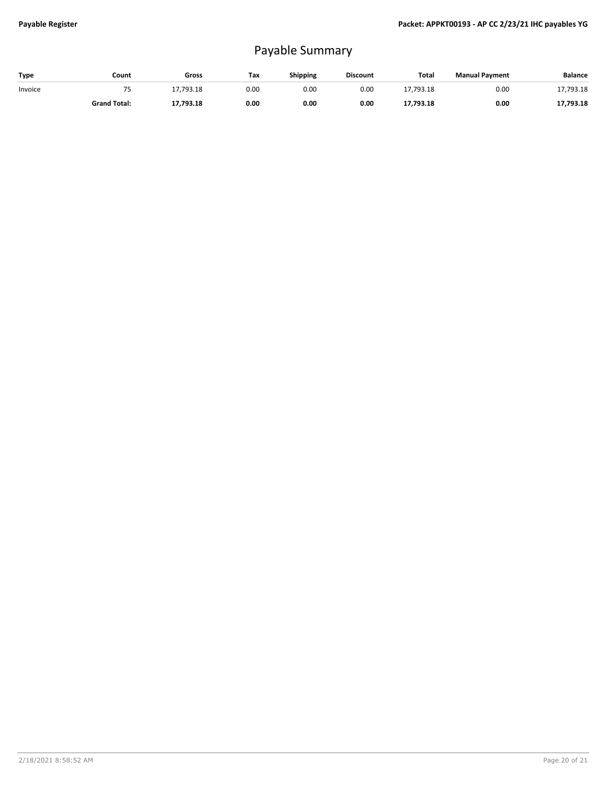# Payable Summary

| Type    | Count               | Gross     | Tax  | <b>Shipping</b> | <b>Discount</b> | Total     | <b>Manual Payment</b> | <b>Balance</b> |
|---------|---------------------|-----------|------|-----------------|-----------------|-----------|-----------------------|----------------|
| Invoice |                     | 7,793.18  | 0.00 | 0.00            | 0.00            | 17,793.18 | 0.00                  | 17,793.18      |
|         | <b>Grand Total:</b> | 17,793.18 | 0.00 | 0.00            | 0.00            | 17,793.18 | 0.00                  | 17,793.18      |